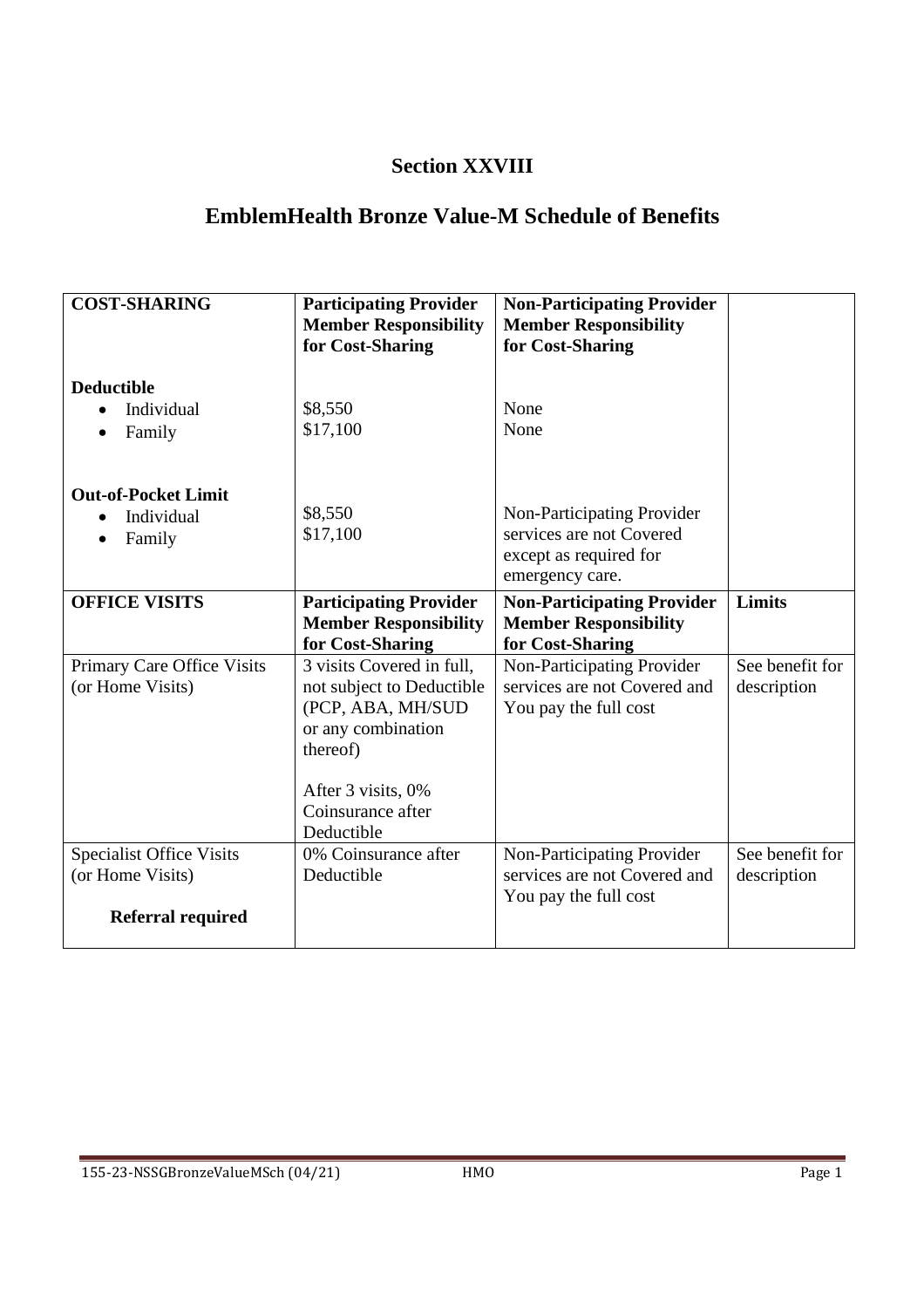## **Section XXVIII**

## **EmblemHealth Bronze Value-M Schedule of Benefits**

| <b>COST-SHARING</b>                                                             | <b>Participating Provider</b><br><b>Member Responsibility</b><br>for Cost-Sharing                                                                                      | <b>Non-Participating Provider</b><br><b>Member Responsibility</b><br>for Cost-Sharing               |                                |
|---------------------------------------------------------------------------------|------------------------------------------------------------------------------------------------------------------------------------------------------------------------|-----------------------------------------------------------------------------------------------------|--------------------------------|
| <b>Deductible</b><br>Individual<br>Family<br>$\bullet$                          | \$8,550<br>\$17,100                                                                                                                                                    | None<br>None                                                                                        |                                |
| <b>Out-of-Pocket Limit</b><br>Individual<br>Family                              | \$8,550<br>\$17,100                                                                                                                                                    | Non-Participating Provider<br>services are not Covered<br>except as required for<br>emergency care. |                                |
| <b>OFFICE VISITS</b>                                                            | <b>Participating Provider</b><br><b>Member Responsibility</b><br>for Cost-Sharing                                                                                      | <b>Non-Participating Provider</b><br><b>Member Responsibility</b><br>for Cost-Sharing               | Limits                         |
| Primary Care Office Visits<br>(or Home Visits)                                  | 3 visits Covered in full,<br>not subject to Deductible<br>(PCP, ABA, MH/SUD<br>or any combination<br>thereof)<br>After 3 visits, 0%<br>Coinsurance after<br>Deductible | Non-Participating Provider<br>services are not Covered and<br>You pay the full cost                 | See benefit for<br>description |
| <b>Specialist Office Visits</b><br>(or Home Visits)<br><b>Referral required</b> | 0% Coinsurance after<br>Deductible                                                                                                                                     | Non-Participating Provider<br>services are not Covered and<br>You pay the full cost                 | See benefit for<br>description |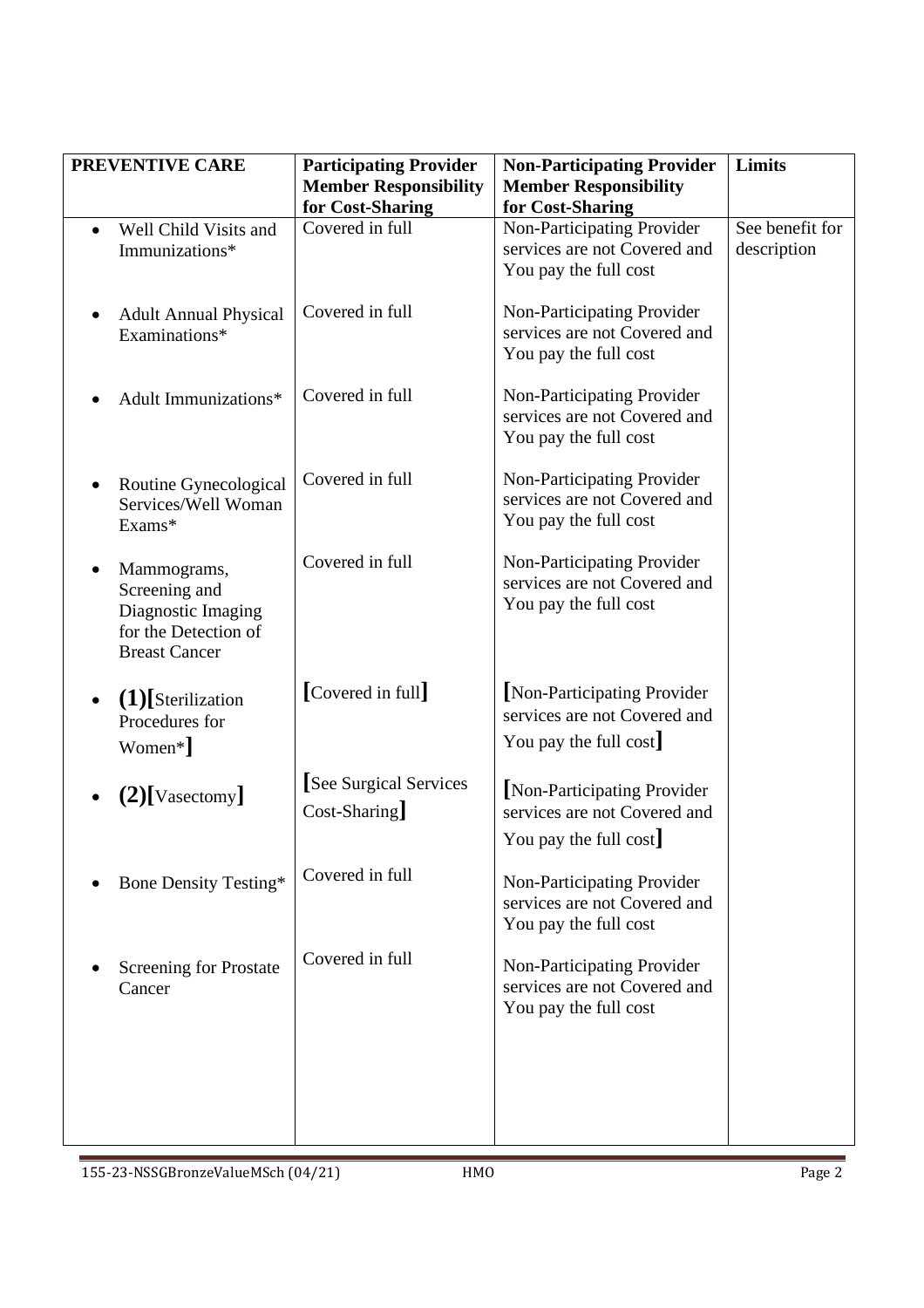|           | PREVENTIVE CARE                                                                                    | <b>Participating Provider</b>                    | <b>Non-Participating Provider</b>                                                    | Limits                         |
|-----------|----------------------------------------------------------------------------------------------------|--------------------------------------------------|--------------------------------------------------------------------------------------|--------------------------------|
|           |                                                                                                    | <b>Member Responsibility</b><br>for Cost-Sharing | <b>Member Responsibility</b><br>for Cost-Sharing                                     |                                |
| $\bullet$ | Well Child Visits and<br>Immunizations*                                                            | Covered in full                                  | Non-Participating Provider<br>services are not Covered and<br>You pay the full cost  | See benefit for<br>description |
| $\bullet$ | <b>Adult Annual Physical</b><br>Examinations*                                                      | Covered in full                                  | Non-Participating Provider<br>services are not Covered and<br>You pay the full cost  |                                |
|           | Adult Immunizations*                                                                               | Covered in full                                  | Non-Participating Provider<br>services are not Covered and<br>You pay the full cost  |                                |
|           | Routine Gynecological<br>Services/Well Woman<br>Exams*                                             | Covered in full                                  | Non-Participating Provider<br>services are not Covered and<br>You pay the full cost  |                                |
| $\bullet$ | Mammograms,<br>Screening and<br>Diagnostic Imaging<br>for the Detection of<br><b>Breast Cancer</b> | Covered in full                                  | Non-Participating Provider<br>services are not Covered and<br>You pay the full cost  |                                |
|           | $(1)$ [Sterilization<br>Procedures for<br>Women*]                                                  | [Covered in full]                                | Non-Participating Provider<br>services are not Covered and<br>You pay the full cost  |                                |
|           | $(2)$ [Vasectomy]                                                                                  | [See Surgical Services]<br>$Cost-Sharing$        | [Non-Participating Provider<br>services are not Covered and<br>You pay the full cost |                                |
|           | <b>Bone Density Testing*</b>                                                                       | Covered in full                                  | Non-Participating Provider<br>services are not Covered and<br>You pay the full cost  |                                |
|           | Screening for Prostate<br>Cancer                                                                   | Covered in full                                  | Non-Participating Provider<br>services are not Covered and<br>You pay the full cost  |                                |
|           |                                                                                                    |                                                  |                                                                                      |                                |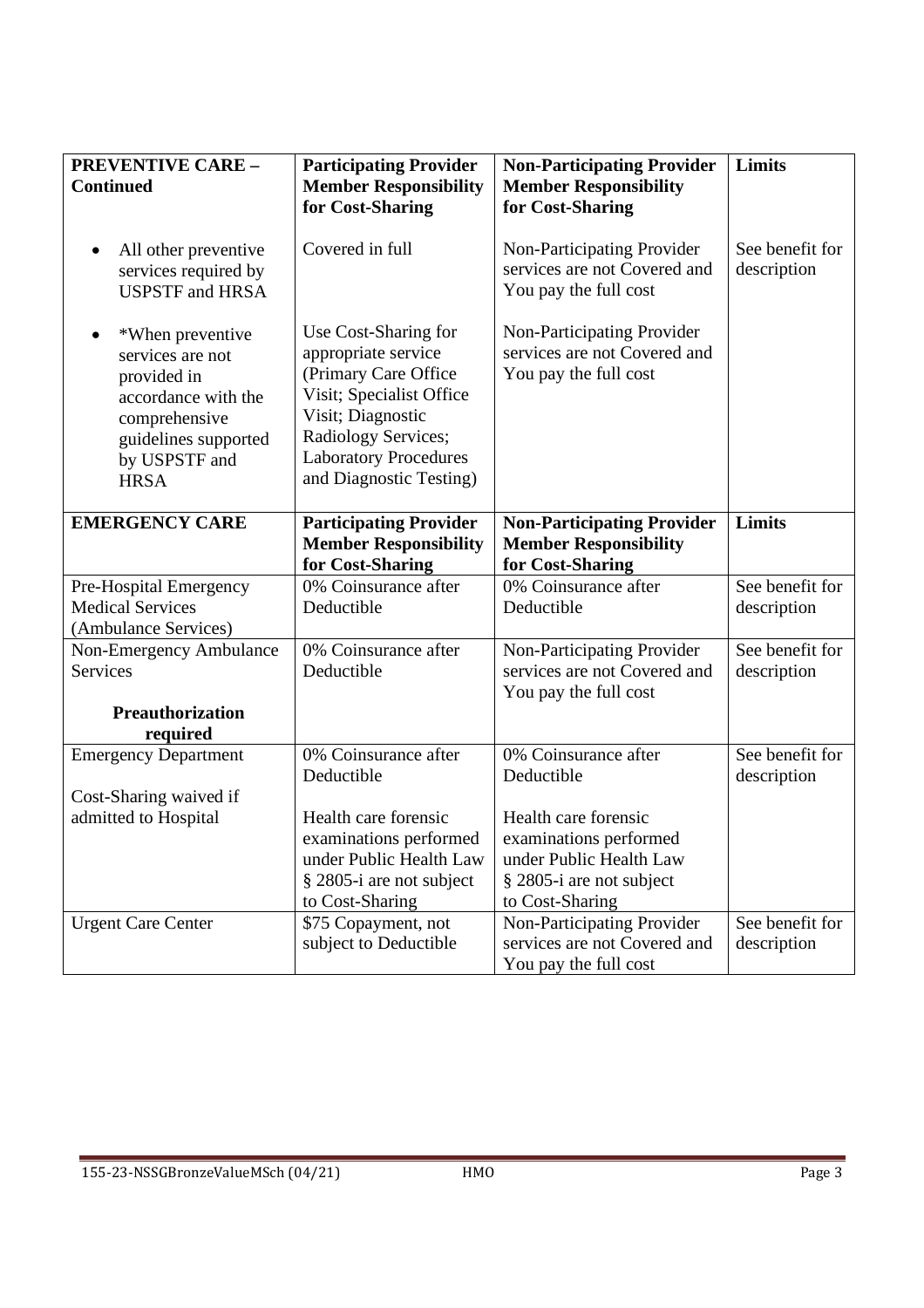| <b>PREVENTIVE CARE -</b><br><b>Continued</b>                                                                                                                     | <b>Participating Provider</b><br><b>Member Responsibility</b><br>for Cost-Sharing                                                                                                                      | <b>Non-Participating Provider</b><br><b>Member Responsibility</b><br>for Cost-Sharing | Limits                         |
|------------------------------------------------------------------------------------------------------------------------------------------------------------------|--------------------------------------------------------------------------------------------------------------------------------------------------------------------------------------------------------|---------------------------------------------------------------------------------------|--------------------------------|
| All other preventive<br>$\bullet$<br>services required by<br><b>USPSTF</b> and HRSA                                                                              | Covered in full                                                                                                                                                                                        | Non-Participating Provider<br>services are not Covered and<br>You pay the full cost   | See benefit for<br>description |
| *When preventive<br>$\bullet$<br>services are not<br>provided in<br>accordance with the<br>comprehensive<br>guidelines supported<br>by USPSTF and<br><b>HRSA</b> | Use Cost-Sharing for<br>appropriate service<br>(Primary Care Office<br>Visit; Specialist Office<br>Visit; Diagnostic<br>Radiology Services;<br><b>Laboratory Procedures</b><br>and Diagnostic Testing) | Non-Participating Provider<br>services are not Covered and<br>You pay the full cost   |                                |
| <b>EMERGENCY CARE</b>                                                                                                                                            | <b>Participating Provider</b><br><b>Member Responsibility</b>                                                                                                                                          | <b>Non-Participating Provider</b><br><b>Member Responsibility</b><br>for Cost-Sharing | <b>Limits</b>                  |
|                                                                                                                                                                  | for Cost-Sharing<br>0% Coinsurance after                                                                                                                                                               | 0% Coinsurance after                                                                  | See benefit for                |
| Pre-Hospital Emergency<br><b>Medical Services</b>                                                                                                                | Deductible                                                                                                                                                                                             | Deductible                                                                            | description                    |
| (Ambulance Services)                                                                                                                                             |                                                                                                                                                                                                        |                                                                                       |                                |
| Non-Emergency Ambulance                                                                                                                                          | 0% Coinsurance after                                                                                                                                                                                   | Non-Participating Provider                                                            | See benefit for                |
| <b>Services</b>                                                                                                                                                  | Deductible                                                                                                                                                                                             | services are not Covered and<br>You pay the full cost                                 | description                    |
| <b>Preauthorization</b>                                                                                                                                          |                                                                                                                                                                                                        |                                                                                       |                                |
| required                                                                                                                                                         |                                                                                                                                                                                                        |                                                                                       |                                |
| <b>Emergency Department</b>                                                                                                                                      | 0% Coinsurance after<br>Deductible                                                                                                                                                                     | 0% Coinsurance after<br>Deductible                                                    | See benefit for<br>description |
| Cost-Sharing waived if                                                                                                                                           |                                                                                                                                                                                                        |                                                                                       |                                |
| admitted to Hospital                                                                                                                                             | Health care forensic                                                                                                                                                                                   | Health care forensic                                                                  |                                |
|                                                                                                                                                                  | examinations performed                                                                                                                                                                                 | examinations performed                                                                |                                |
|                                                                                                                                                                  | under Public Health Law                                                                                                                                                                                | under Public Health Law                                                               |                                |
|                                                                                                                                                                  | § 2805-i are not subject                                                                                                                                                                               | § 2805-i are not subject                                                              |                                |
|                                                                                                                                                                  | to Cost-Sharing                                                                                                                                                                                        | to Cost-Sharing                                                                       |                                |
| <b>Urgent Care Center</b>                                                                                                                                        | \$75 Copayment, not                                                                                                                                                                                    | Non-Participating Provider                                                            | See benefit for                |
|                                                                                                                                                                  | subject to Deductible                                                                                                                                                                                  | services are not Covered and                                                          | description                    |
|                                                                                                                                                                  |                                                                                                                                                                                                        | You pay the full cost                                                                 |                                |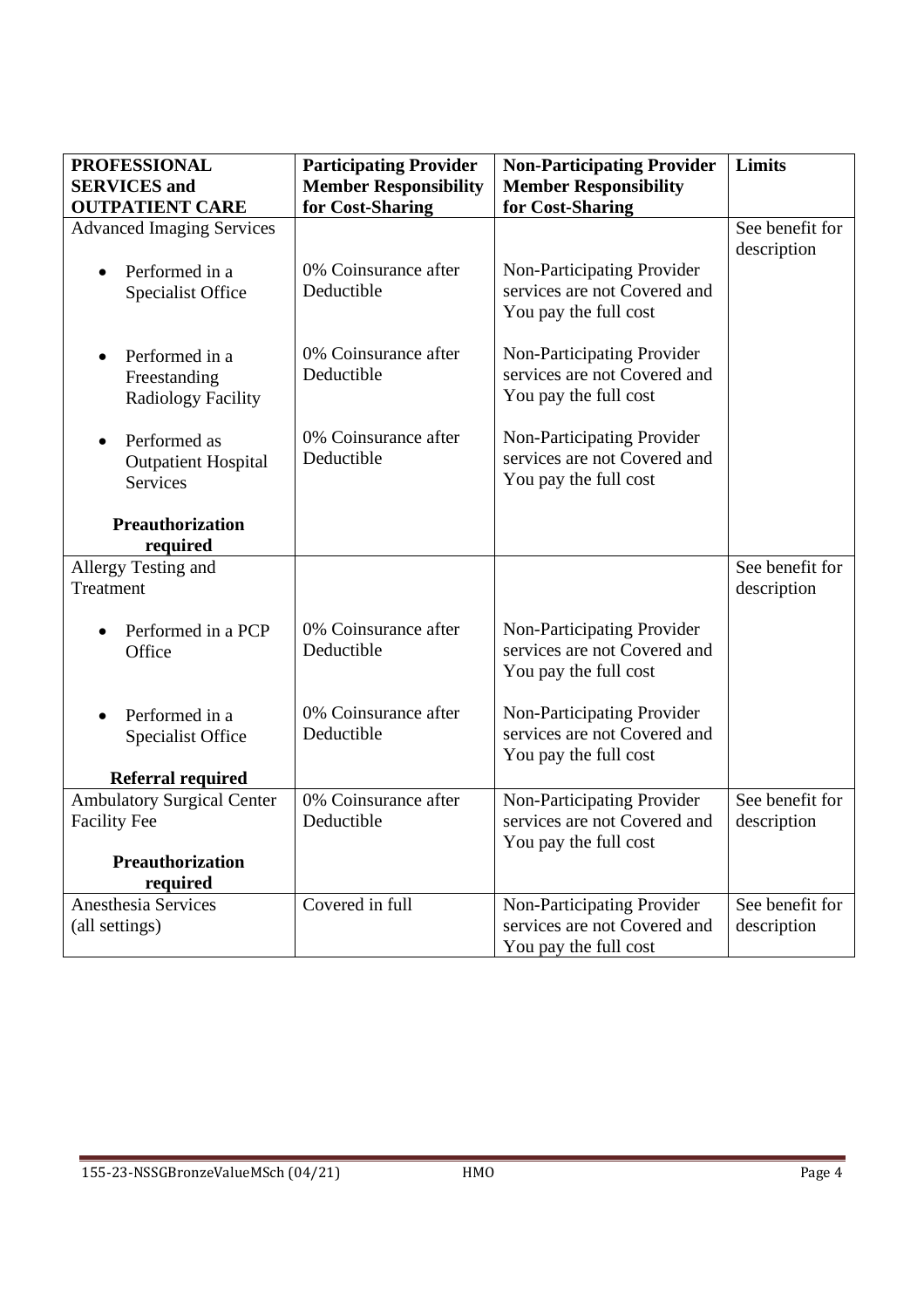| <b>PROFESSIONAL</b><br><b>SERVICES</b> and                                 | <b>Participating Provider</b><br><b>Member Responsibility</b> | <b>Non-Participating Provider</b><br><b>Member Responsibility</b>                   | Limits                         |
|----------------------------------------------------------------------------|---------------------------------------------------------------|-------------------------------------------------------------------------------------|--------------------------------|
| <b>OUTPATIENT CARE</b>                                                     | for Cost-Sharing                                              | for Cost-Sharing                                                                    |                                |
| <b>Advanced Imaging Services</b>                                           |                                                               |                                                                                     | See benefit for<br>description |
| Performed in a<br>$\bullet$<br><b>Specialist Office</b>                    | 0% Coinsurance after<br>Deductible                            | Non-Participating Provider<br>services are not Covered and<br>You pay the full cost |                                |
| Performed in a<br>$\bullet$<br>Freestanding<br><b>Radiology Facility</b>   | 0% Coinsurance after<br>Deductible                            | Non-Participating Provider<br>services are not Covered and<br>You pay the full cost |                                |
| Performed as<br>$\bullet$<br><b>Outpatient Hospital</b><br><b>Services</b> | 0% Coinsurance after<br>Deductible                            | Non-Participating Provider<br>services are not Covered and<br>You pay the full cost |                                |
| Preauthorization<br>required                                               |                                                               |                                                                                     |                                |
| Allergy Testing and<br>Treatment                                           |                                                               |                                                                                     | See benefit for<br>description |
| Performed in a PCP<br>$\bullet$<br>Office                                  | 0% Coinsurance after<br>Deductible                            | Non-Participating Provider<br>services are not Covered and<br>You pay the full cost |                                |
| Performed in a<br>$\bullet$<br>Specialist Office                           | 0% Coinsurance after<br>Deductible                            | Non-Participating Provider<br>services are not Covered and<br>You pay the full cost |                                |
| <b>Referral required</b>                                                   |                                                               |                                                                                     |                                |
| <b>Ambulatory Surgical Center</b><br><b>Facility Fee</b>                   | 0% Coinsurance after<br>Deductible                            | Non-Participating Provider<br>services are not Covered and<br>You pay the full cost | See benefit for<br>description |
| <b>Preauthorization</b><br>required                                        |                                                               |                                                                                     |                                |
| Anesthesia Services                                                        | Covered in full                                               | Non-Participating Provider                                                          | See benefit for                |
| (all settings)                                                             |                                                               | services are not Covered and<br>You pay the full cost                               | description                    |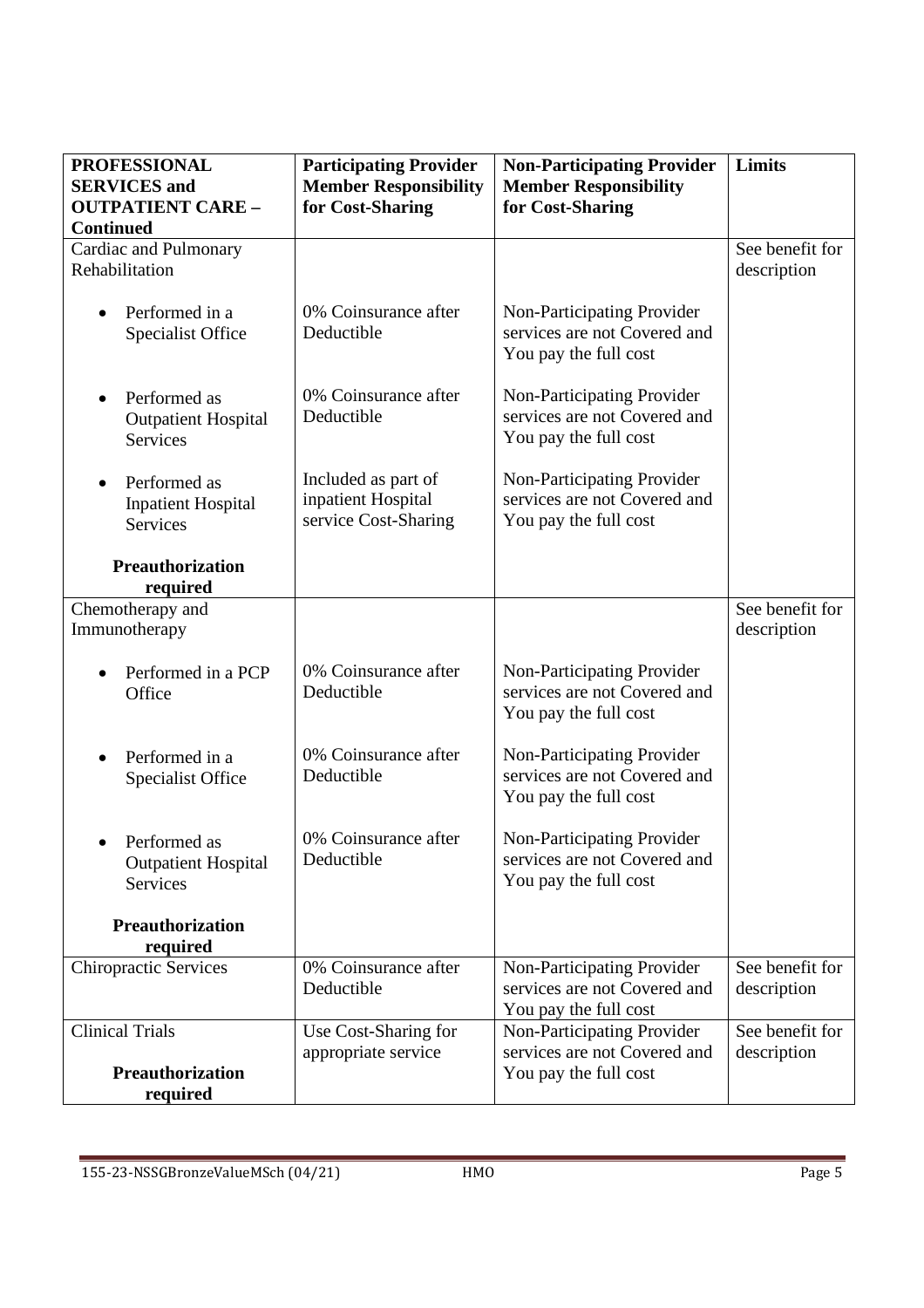| <b>PROFESSIONAL</b><br><b>SERVICES</b> and<br><b>OUTPATIENT CARE -</b><br><b>Continued</b> | <b>Participating Provider</b><br><b>Member Responsibility</b><br>for Cost-Sharing | <b>Non-Participating Provider</b><br><b>Member Responsibility</b><br>for Cost-Sharing | Limits                         |
|--------------------------------------------------------------------------------------------|-----------------------------------------------------------------------------------|---------------------------------------------------------------------------------------|--------------------------------|
| Cardiac and Pulmonary<br>Rehabilitation                                                    |                                                                                   |                                                                                       | See benefit for<br>description |
| Performed in a<br>$\bullet$<br><b>Specialist Office</b>                                    | 0% Coinsurance after<br>Deductible                                                | Non-Participating Provider<br>services are not Covered and<br>You pay the full cost   |                                |
| Performed as<br>$\bullet$<br><b>Outpatient Hospital</b><br>Services                        | 0% Coinsurance after<br>Deductible                                                | Non-Participating Provider<br>services are not Covered and<br>You pay the full cost   |                                |
| Performed as<br>$\bullet$<br><b>Inpatient Hospital</b><br>Services                         | Included as part of<br>inpatient Hospital<br>service Cost-Sharing                 | Non-Participating Provider<br>services are not Covered and<br>You pay the full cost   |                                |
| <b>Preauthorization</b><br>required                                                        |                                                                                   |                                                                                       |                                |
| Chemotherapy and<br>Immunotherapy                                                          |                                                                                   |                                                                                       | See benefit for<br>description |
| Performed in a PCP<br>Office                                                               | 0% Coinsurance after<br>Deductible                                                | Non-Participating Provider<br>services are not Covered and<br>You pay the full cost   |                                |
| Performed in a<br>$\bullet$<br><b>Specialist Office</b>                                    | 0% Coinsurance after<br>Deductible                                                | Non-Participating Provider<br>services are not Covered and<br>You pay the full cost   |                                |
| Performed as<br><b>Outpatient Hospital</b><br>Services                                     | 0% Coinsurance after<br>Deductible                                                | Non-Participating Provider<br>services are not Covered and<br>You pay the full cost   |                                |
| <b>Preauthorization</b><br>required                                                        |                                                                                   |                                                                                       |                                |
| <b>Chiropractic Services</b>                                                               | 0% Coinsurance after<br>Deductible                                                | Non-Participating Provider<br>services are not Covered and<br>You pay the full cost   | See benefit for<br>description |
| <b>Clinical Trials</b>                                                                     | Use Cost-Sharing for<br>appropriate service                                       | Non-Participating Provider<br>services are not Covered and                            | See benefit for<br>description |
| <b>Preauthorization</b><br>required                                                        |                                                                                   | You pay the full cost                                                                 |                                |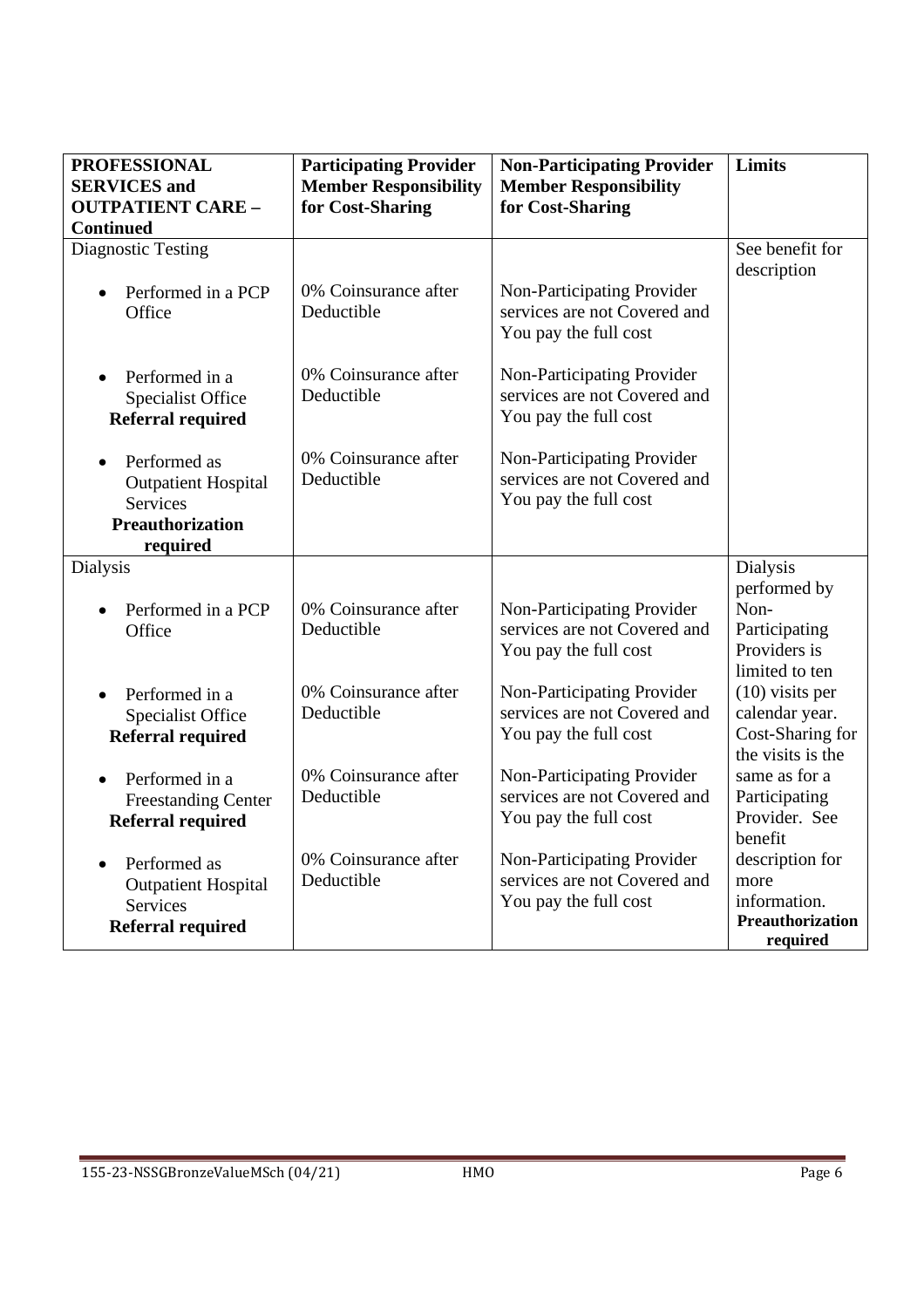| <b>PROFESSIONAL</b><br><b>SERVICES</b> and                                                                 | <b>Participating Provider</b><br><b>Member Responsibility</b> | <b>Non-Participating Provider</b><br><b>Member Responsibility</b>                   | <b>Limits</b>                                                                |
|------------------------------------------------------------------------------------------------------------|---------------------------------------------------------------|-------------------------------------------------------------------------------------|------------------------------------------------------------------------------|
| <b>OUTPATIENT CARE -</b><br><b>Continued</b>                                                               | for Cost-Sharing                                              | for Cost-Sharing                                                                    |                                                                              |
| <b>Diagnostic Testing</b>                                                                                  |                                                               |                                                                                     | See benefit for<br>description                                               |
| Performed in a PCP<br>$\bullet$<br>Office                                                                  | 0% Coinsurance after<br>Deductible                            | Non-Participating Provider<br>services are not Covered and<br>You pay the full cost |                                                                              |
| Performed in a<br>$\bullet$<br><b>Specialist Office</b><br><b>Referral required</b>                        | 0% Coinsurance after<br>Deductible                            | Non-Participating Provider<br>services are not Covered and<br>You pay the full cost |                                                                              |
| Performed as<br>$\bullet$<br><b>Outpatient Hospital</b><br><b>Services</b><br>Preauthorization<br>required | 0% Coinsurance after<br>Deductible                            | Non-Participating Provider<br>services are not Covered and<br>You pay the full cost |                                                                              |
| Dialysis                                                                                                   |                                                               |                                                                                     | <b>Dialysis</b>                                                              |
| Performed in a PCP<br>Office                                                                               | 0% Coinsurance after<br>Deductible                            | Non-Participating Provider<br>services are not Covered and<br>You pay the full cost | performed by<br>Non-<br>Participating<br>Providers is<br>limited to ten      |
| Performed in a<br>$\bullet$<br><b>Specialist Office</b><br><b>Referral required</b>                        | 0% Coinsurance after<br>Deductible                            | Non-Participating Provider<br>services are not Covered and<br>You pay the full cost | $(10)$ visits per<br>calendar year.<br>Cost-Sharing for<br>the visits is the |
| Performed in a<br><b>Freestanding Center</b><br><b>Referral required</b>                                   | 0% Coinsurance after<br>Deductible                            | Non-Participating Provider<br>services are not Covered and<br>You pay the full cost | same as for a<br>Participating<br>Provider. See<br>benefit                   |
| Performed as<br>$\bullet$<br><b>Outpatient Hospital</b><br><b>Services</b><br><b>Referral required</b>     | 0% Coinsurance after<br>Deductible                            | Non-Participating Provider<br>services are not Covered and<br>You pay the full cost | description for<br>more<br>information.<br>Preauthorization<br>required      |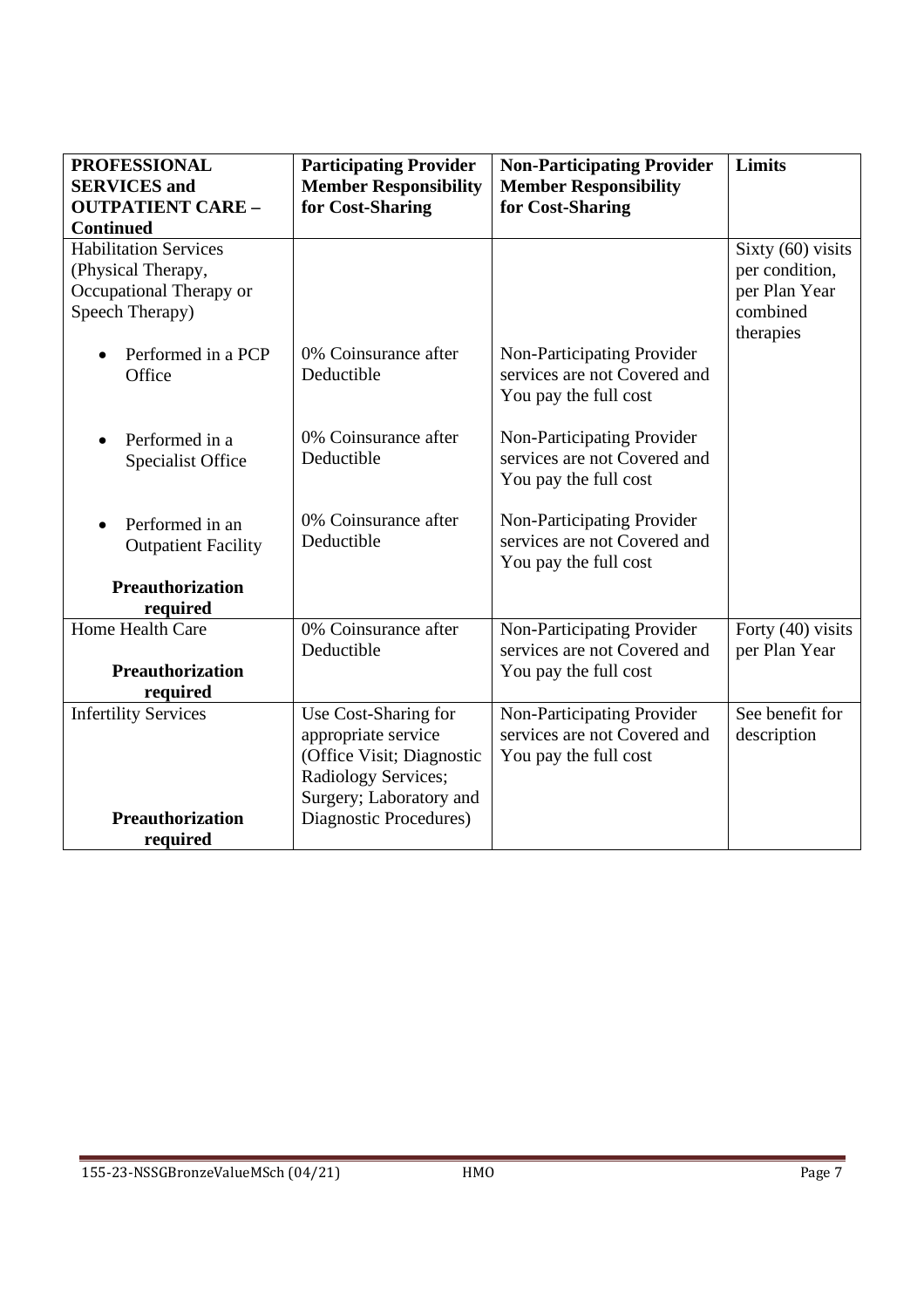| <b>PROFESSIONAL</b><br><b>SERVICES</b> and | <b>Participating Provider</b>                    | <b>Non-Participating Provider</b>                          | Limits                             |
|--------------------------------------------|--------------------------------------------------|------------------------------------------------------------|------------------------------------|
| <b>OUTPATIENT CARE -</b>                   | <b>Member Responsibility</b><br>for Cost-Sharing | <b>Member Responsibility</b><br>for Cost-Sharing           |                                    |
| <b>Continued</b>                           |                                                  |                                                            |                                    |
| <b>Habilitation Services</b>               |                                                  |                                                            | Sixty (60) visits                  |
| (Physical Therapy,                         |                                                  |                                                            | per condition,                     |
| Occupational Therapy or<br>Speech Therapy) |                                                  |                                                            | per Plan Year<br>combined          |
|                                            |                                                  |                                                            | therapies                          |
| Performed in a PCP                         | 0% Coinsurance after                             | Non-Participating Provider                                 |                                    |
| Office                                     | Deductible                                       | services are not Covered and                               |                                    |
|                                            |                                                  | You pay the full cost                                      |                                    |
| Performed in a                             | 0% Coinsurance after                             | Non-Participating Provider                                 |                                    |
| <b>Specialist Office</b>                   | Deductible                                       | services are not Covered and                               |                                    |
|                                            |                                                  | You pay the full cost                                      |                                    |
| Performed in an                            | 0% Coinsurance after                             | Non-Participating Provider                                 |                                    |
| <b>Outpatient Facility</b>                 | Deductible                                       | services are not Covered and                               |                                    |
|                                            |                                                  | You pay the full cost                                      |                                    |
| Preauthorization                           |                                                  |                                                            |                                    |
| required<br>Home Health Care               | 0% Coinsurance after                             |                                                            |                                    |
|                                            | Deductible                                       | Non-Participating Provider<br>services are not Covered and | Forty (40) visits<br>per Plan Year |
| <b>Preauthorization</b>                    |                                                  | You pay the full cost                                      |                                    |
| required                                   |                                                  |                                                            |                                    |
| <b>Infertility Services</b>                | Use Cost-Sharing for                             | Non-Participating Provider                                 | See benefit for                    |
|                                            | appropriate service                              | services are not Covered and                               | description                        |
|                                            | (Office Visit; Diagnostic                        | You pay the full cost                                      |                                    |
|                                            | Radiology Services;<br>Surgery; Laboratory and   |                                                            |                                    |
| <b>Preauthorization</b>                    | Diagnostic Procedures)                           |                                                            |                                    |
| required                                   |                                                  |                                                            |                                    |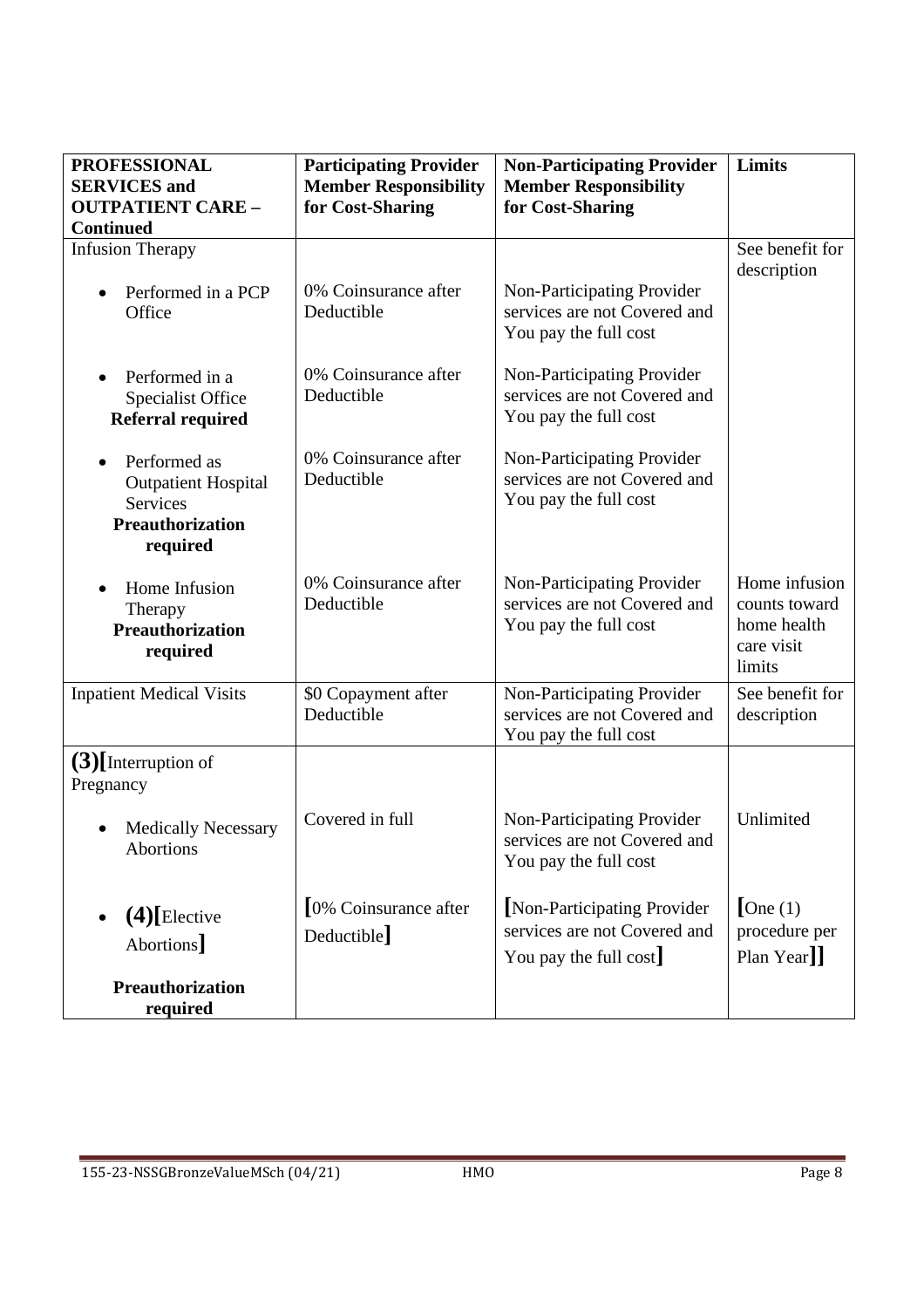| <b>PROFESSIONAL</b><br><b>SERVICES</b> and<br><b>OUTPATIENT CARE -</b><br><b>Continued</b>                        | <b>Participating Provider</b><br><b>Member Responsibility</b><br>for Cost-Sharing | <b>Non-Participating Provider</b><br><b>Member Responsibility</b><br>for Cost-Sharing | Limits                                                                |
|-------------------------------------------------------------------------------------------------------------------|-----------------------------------------------------------------------------------|---------------------------------------------------------------------------------------|-----------------------------------------------------------------------|
| <b>Infusion Therapy</b>                                                                                           |                                                                                   |                                                                                       | See benefit for<br>description                                        |
| Performed in a PCP<br>$\bullet$<br>Office                                                                         | 0% Coinsurance after<br>Deductible                                                | Non-Participating Provider<br>services are not Covered and<br>You pay the full cost   |                                                                       |
| Performed in a<br>$\bullet$<br><b>Specialist Office</b><br><b>Referral required</b>                               | 0% Coinsurance after<br>Deductible                                                | Non-Participating Provider<br>services are not Covered and<br>You pay the full cost   |                                                                       |
| Performed as<br>$\bullet$<br><b>Outpatient Hospital</b><br><b>Services</b><br><b>Preauthorization</b><br>required | 0% Coinsurance after<br>Deductible                                                | Non-Participating Provider<br>services are not Covered and<br>You pay the full cost   |                                                                       |
| Home Infusion<br>Therapy<br><b>Preauthorization</b><br>required                                                   | 0% Coinsurance after<br>Deductible                                                | Non-Participating Provider<br>services are not Covered and<br>You pay the full cost   | Home infusion<br>counts toward<br>home health<br>care visit<br>limits |
| <b>Inpatient Medical Visits</b>                                                                                   | \$0 Copayment after<br>Deductible                                                 | Non-Participating Provider<br>services are not Covered and<br>You pay the full cost   | See benefit for<br>description                                        |
| $(3)$ [Interruption of<br>Pregnancy                                                                               |                                                                                   |                                                                                       |                                                                       |
| <b>Medically Necessary</b><br>Abortions                                                                           | Covered in full                                                                   | Non-Participating Provider<br>services are not Covered and<br>You pay the full cost   | Unlimited                                                             |
| $(4)$ [Elective<br>Abortions <sup>]</sup>                                                                         | 0% Coinsurance after<br>Deductible]                                               | [Non-Participating Provider<br>services are not Covered and<br>You pay the full cost  | $\lceil$ One (1)<br>procedure per<br>Plan Year]]                      |
| <b>Preauthorization</b><br>required                                                                               |                                                                                   |                                                                                       |                                                                       |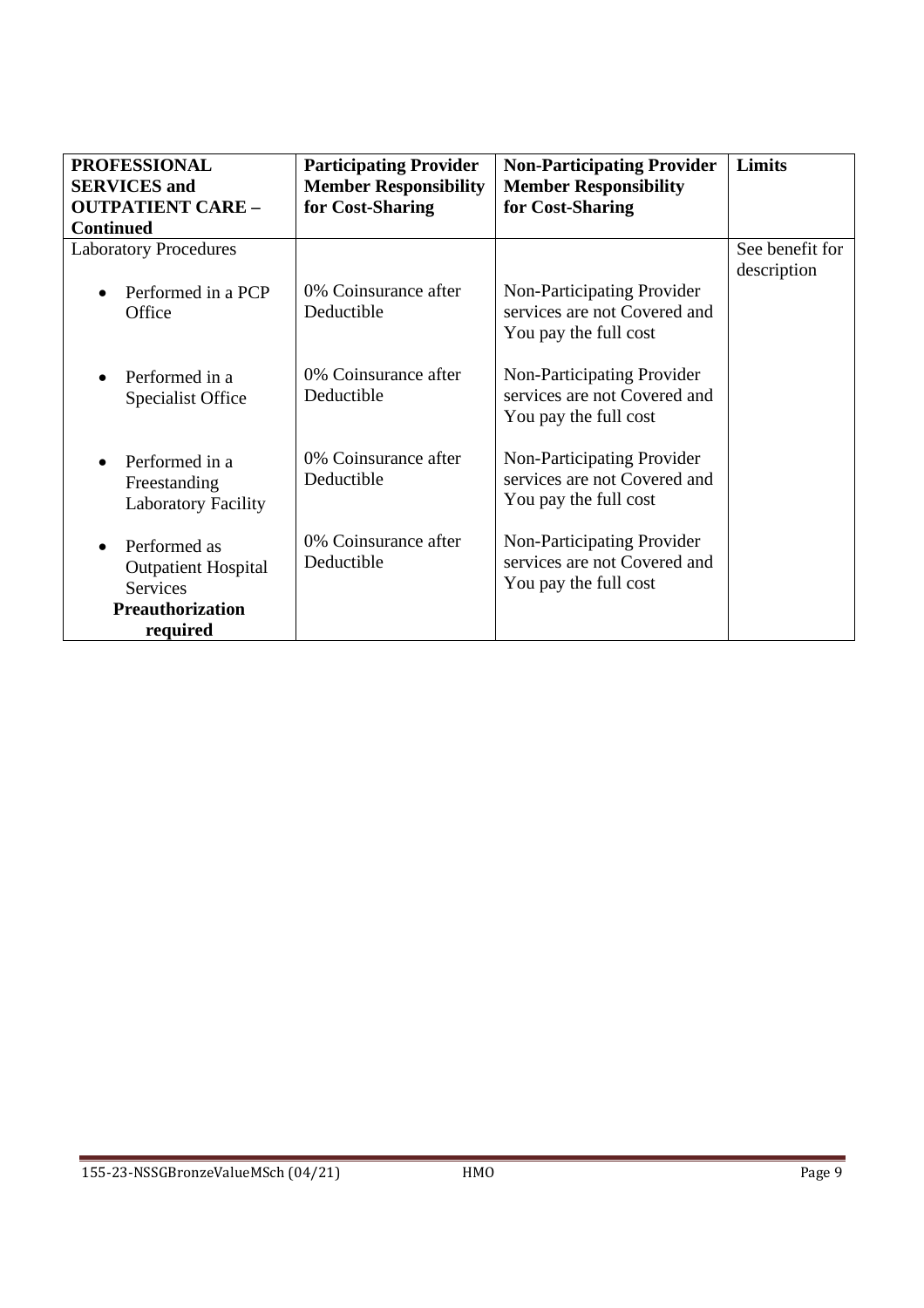| <b>PROFESSIONAL</b>             | <b>Participating Provider</b> | <b>Non-Participating Provider</b> | Limits          |
|---------------------------------|-------------------------------|-----------------------------------|-----------------|
| <b>SERVICES</b> and             | <b>Member Responsibility</b>  | <b>Member Responsibility</b>      |                 |
| <b>OUTPATIENT CARE -</b>        | for Cost-Sharing              | for Cost-Sharing                  |                 |
| <b>Continued</b>                |                               |                                   |                 |
| <b>Laboratory Procedures</b>    |                               |                                   | See benefit for |
|                                 |                               |                                   | description     |
| Performed in a PCP<br>$\bullet$ | 0% Coinsurance after          | Non-Participating Provider        |                 |
| Office                          | Deductible                    | services are not Covered and      |                 |
|                                 |                               | You pay the full cost             |                 |
|                                 |                               |                                   |                 |
| Performed in a<br>$\bullet$     | 0% Coinsurance after          | Non-Participating Provider        |                 |
| <b>Specialist Office</b>        | Deductible                    | services are not Covered and      |                 |
|                                 |                               | You pay the full cost             |                 |
|                                 |                               |                                   |                 |
| Performed in a<br>$\bullet$     | 0% Coinsurance after          | Non-Participating Provider        |                 |
| Freestanding                    | Deductible                    | services are not Covered and      |                 |
| <b>Laboratory Facility</b>      |                               | You pay the full cost             |                 |
|                                 | 0% Coinsurance after          | Non-Participating Provider        |                 |
| Performed as<br>$\bullet$       | Deductible                    | services are not Covered and      |                 |
| <b>Outpatient Hospital</b>      |                               |                                   |                 |
| <b>Services</b>                 |                               | You pay the full cost             |                 |
| <b>Preauthorization</b>         |                               |                                   |                 |
| required                        |                               |                                   |                 |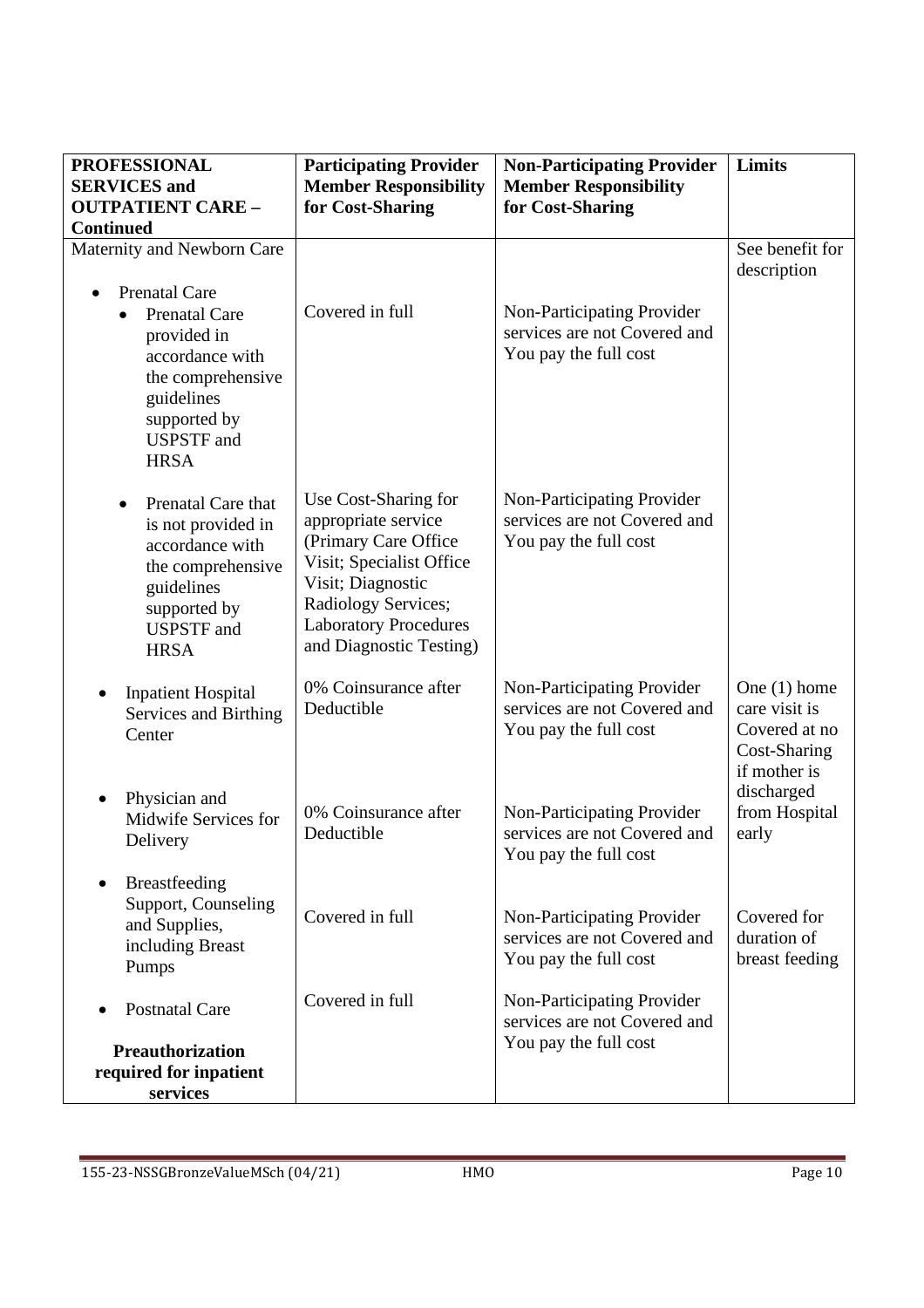| <b>PROFESSIONAL</b>                                                                                                                                                                | <b>Participating Provider</b>                                                                                                                                                                           | <b>Non-Participating Provider</b>                                                   | Limits                                                                           |
|------------------------------------------------------------------------------------------------------------------------------------------------------------------------------------|---------------------------------------------------------------------------------------------------------------------------------------------------------------------------------------------------------|-------------------------------------------------------------------------------------|----------------------------------------------------------------------------------|
| <b>SERVICES</b> and                                                                                                                                                                | <b>Member Responsibility</b>                                                                                                                                                                            | <b>Member Responsibility</b>                                                        |                                                                                  |
| <b>OUTPATIENT CARE -</b>                                                                                                                                                           | for Cost-Sharing                                                                                                                                                                                        | for Cost-Sharing                                                                    |                                                                                  |
| <b>Continued</b>                                                                                                                                                                   |                                                                                                                                                                                                         |                                                                                     |                                                                                  |
| Maternity and Newborn Care                                                                                                                                                         |                                                                                                                                                                                                         |                                                                                     | See benefit for<br>description                                                   |
| <b>Prenatal Care</b><br><b>Prenatal Care</b><br>$\bullet$<br>provided in<br>accordance with<br>the comprehensive<br>guidelines<br>supported by<br><b>USPSTF</b> and<br><b>HRSA</b> | Covered in full                                                                                                                                                                                         | Non-Participating Provider<br>services are not Covered and<br>You pay the full cost |                                                                                  |
| Prenatal Care that<br>$\bullet$<br>is not provided in<br>accordance with<br>the comprehensive<br>guidelines<br>supported by<br><b>USPSTF</b> and<br><b>HRSA</b>                    | Use Cost-Sharing for<br>appropriate service<br>(Primary Care Office)<br>Visit; Specialist Office<br>Visit; Diagnostic<br>Radiology Services;<br><b>Laboratory Procedures</b><br>and Diagnostic Testing) | Non-Participating Provider<br>services are not Covered and<br>You pay the full cost |                                                                                  |
| <b>Inpatient Hospital</b><br>Services and Birthing<br>Center                                                                                                                       | 0% Coinsurance after<br>Deductible                                                                                                                                                                      | Non-Participating Provider<br>services are not Covered and<br>You pay the full cost | One $(1)$ home<br>care visit is<br>Covered at no<br>Cost-Sharing<br>if mother is |
| Physician and<br>$\bullet$<br>Midwife Services for<br>Delivery                                                                                                                     | 0% Coinsurance after<br>Deductible                                                                                                                                                                      | Non-Participating Provider<br>services are not Covered and<br>You pay the full cost | discharged<br>from Hospital<br>early                                             |
| <b>Breastfeeding</b><br>Support, Counseling<br>and Supplies,<br>including Breast<br>Pumps                                                                                          | Covered in full                                                                                                                                                                                         | Non-Participating Provider<br>services are not Covered and<br>You pay the full cost | Covered for<br>duration of<br>breast feeding                                     |
| <b>Postnatal Care</b>                                                                                                                                                              | Covered in full                                                                                                                                                                                         | Non-Participating Provider<br>services are not Covered and                          |                                                                                  |
| <b>Preauthorization</b>                                                                                                                                                            |                                                                                                                                                                                                         | You pay the full cost                                                               |                                                                                  |
| required for inpatient                                                                                                                                                             |                                                                                                                                                                                                         |                                                                                     |                                                                                  |
| services                                                                                                                                                                           |                                                                                                                                                                                                         |                                                                                     |                                                                                  |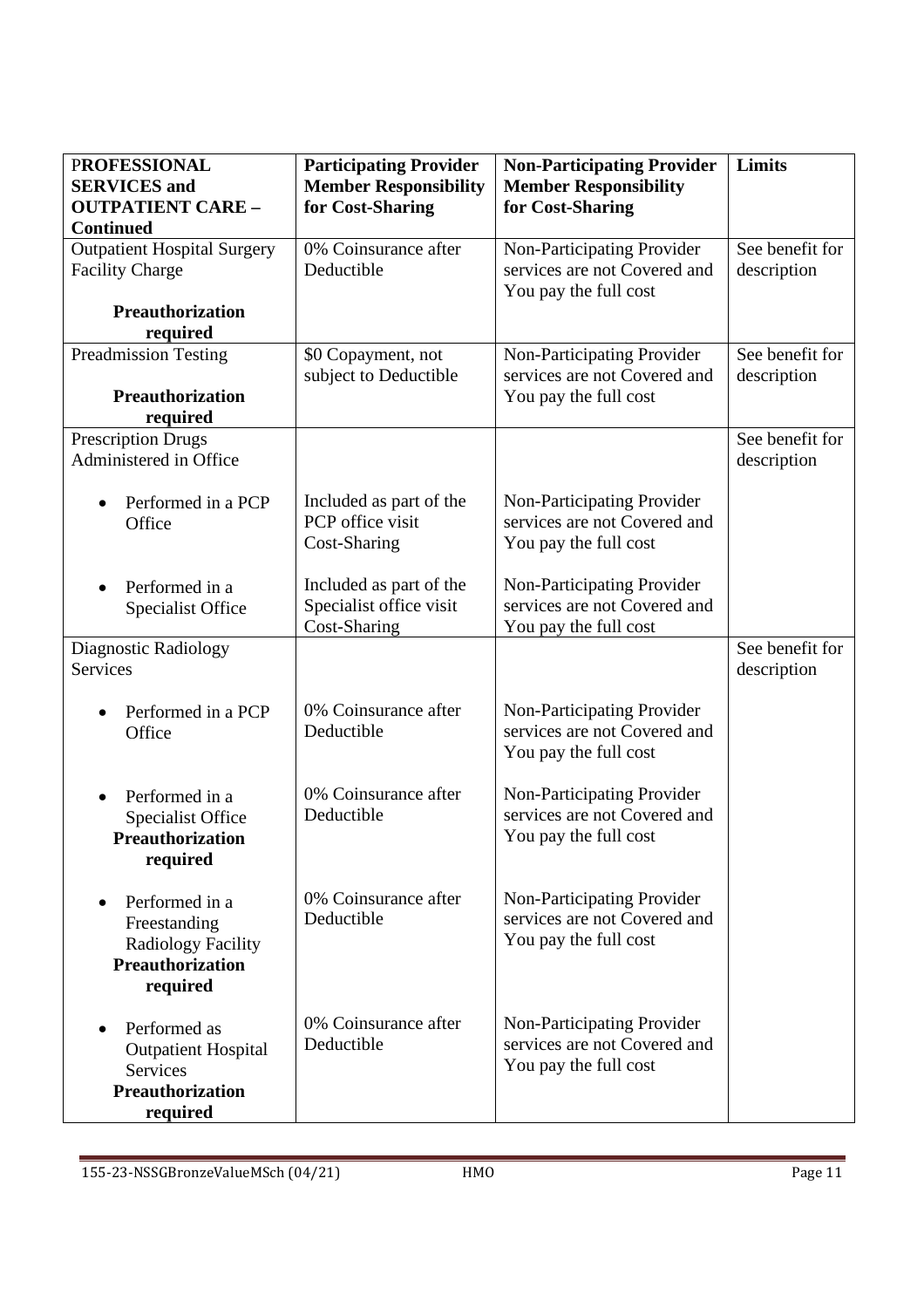| <b>PROFESSIONAL</b><br><b>SERVICES</b> and                                                         | <b>Participating Provider</b><br><b>Member Responsibility</b>      | <b>Non-Participating Provider</b><br><b>Member Responsibility</b>                   | Limits                         |
|----------------------------------------------------------------------------------------------------|--------------------------------------------------------------------|-------------------------------------------------------------------------------------|--------------------------------|
| <b>OUTPATIENT CARE -</b><br><b>Continued</b>                                                       | for Cost-Sharing                                                   | for Cost-Sharing                                                                    |                                |
| <b>Outpatient Hospital Surgery</b><br><b>Facility Charge</b>                                       | 0% Coinsurance after<br>Deductible                                 | Non-Participating Provider<br>services are not Covered and<br>You pay the full cost | See benefit for<br>description |
| <b>Preauthorization</b><br>required                                                                |                                                                    |                                                                                     |                                |
| <b>Preadmission Testing</b>                                                                        | \$0 Copayment, not<br>subject to Deductible                        | Non-Participating Provider<br>services are not Covered and                          | See benefit for<br>description |
| <b>Preauthorization</b><br>required                                                                |                                                                    | You pay the full cost                                                               |                                |
| <b>Prescription Drugs</b><br>Administered in Office                                                |                                                                    |                                                                                     | See benefit for<br>description |
| Performed in a PCP<br>Office                                                                       | Included as part of the<br>PCP office visit<br>Cost-Sharing        | Non-Participating Provider<br>services are not Covered and<br>You pay the full cost |                                |
| Performed in a<br><b>Specialist Office</b>                                                         | Included as part of the<br>Specialist office visit<br>Cost-Sharing | Non-Participating Provider<br>services are not Covered and<br>You pay the full cost |                                |
| Diagnostic Radiology<br><b>Services</b>                                                            |                                                                    |                                                                                     | See benefit for<br>description |
| Performed in a PCP<br>Office                                                                       | 0% Coinsurance after<br>Deductible                                 | Non-Participating Provider<br>services are not Covered and<br>You pay the full cost |                                |
| Performed in a<br>Specialist Office<br><b>Preauthorization</b><br>required                         | 0% Coinsurance after<br>Deductible                                 | Non-Participating Provider<br>services are not Covered and<br>You pay the full cost |                                |
| Performed in a<br>Freestanding<br><b>Radiology Facility</b><br><b>Preauthorization</b><br>required | 0% Coinsurance after<br>Deductible                                 | Non-Participating Provider<br>services are not Covered and<br>You pay the full cost |                                |
| Performed as<br><b>Outpatient Hospital</b><br>Services<br><b>Preauthorization</b><br>required      | 0% Coinsurance after<br>Deductible                                 | Non-Participating Provider<br>services are not Covered and<br>You pay the full cost |                                |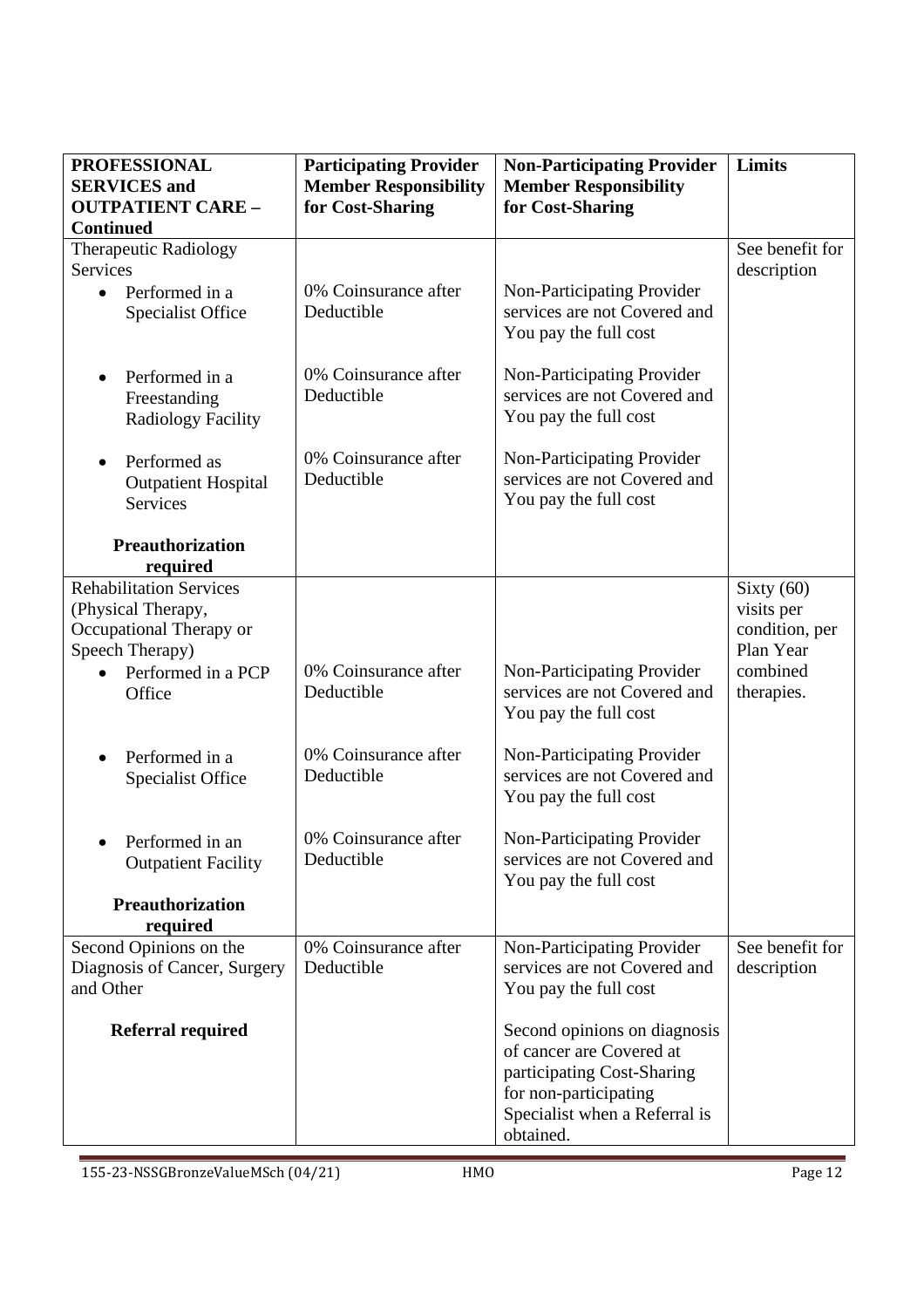| <b>PROFESSIONAL</b>                                                                                | <b>Participating Provider</b>      | <b>Non-Participating Provider</b>                                                                                                                             | Limits                                                    |
|----------------------------------------------------------------------------------------------------|------------------------------------|---------------------------------------------------------------------------------------------------------------------------------------------------------------|-----------------------------------------------------------|
| <b>SERVICES</b> and                                                                                | <b>Member Responsibility</b>       | <b>Member Responsibility</b>                                                                                                                                  |                                                           |
| <b>OUTPATIENT CARE -</b><br><b>Continued</b>                                                       | for Cost-Sharing                   | for Cost-Sharing                                                                                                                                              |                                                           |
| Therapeutic Radiology<br><b>Services</b>                                                           |                                    |                                                                                                                                                               | See benefit for<br>description                            |
| Performed in a<br>$\bullet$<br><b>Specialist Office</b>                                            | 0% Coinsurance after<br>Deductible | Non-Participating Provider<br>services are not Covered and<br>You pay the full cost                                                                           |                                                           |
| Performed in a<br>$\bullet$<br>Freestanding<br><b>Radiology Facility</b>                           | 0% Coinsurance after<br>Deductible | Non-Participating Provider<br>services are not Covered and<br>You pay the full cost                                                                           |                                                           |
| Performed as<br>$\bullet$<br><b>Outpatient Hospital</b><br>Services                                | 0% Coinsurance after<br>Deductible | Non-Participating Provider<br>services are not Covered and<br>You pay the full cost                                                                           |                                                           |
| <b>Preauthorization</b><br>required                                                                |                                    |                                                                                                                                                               |                                                           |
| <b>Rehabilitation Services</b><br>(Physical Therapy,<br>Occupational Therapy or<br>Speech Therapy) |                                    |                                                                                                                                                               | Sixty $(60)$<br>visits per<br>condition, per<br>Plan Year |
| Performed in a PCP<br>Office                                                                       | 0% Coinsurance after<br>Deductible | Non-Participating Provider<br>services are not Covered and<br>You pay the full cost                                                                           | combined<br>therapies.                                    |
| Performed in a<br>$\bullet$<br><b>Specialist Office</b>                                            | 0% Coinsurance after<br>Deductible | Non-Participating Provider<br>services are not Covered and<br>You pay the full cost                                                                           |                                                           |
| Performed in an<br><b>Outpatient Facility</b>                                                      | 0% Coinsurance after<br>Deductible | Non-Participating Provider<br>services are not Covered and<br>You pay the full cost                                                                           |                                                           |
| <b>Preauthorization</b><br>required                                                                |                                    |                                                                                                                                                               |                                                           |
| Second Opinions on the<br>Diagnosis of Cancer, Surgery<br>and Other                                | 0% Coinsurance after<br>Deductible | Non-Participating Provider<br>services are not Covered and<br>You pay the full cost                                                                           | See benefit for<br>description                            |
| <b>Referral required</b>                                                                           |                                    | Second opinions on diagnosis<br>of cancer are Covered at<br>participating Cost-Sharing<br>for non-participating<br>Specialist when a Referral is<br>obtained. |                                                           |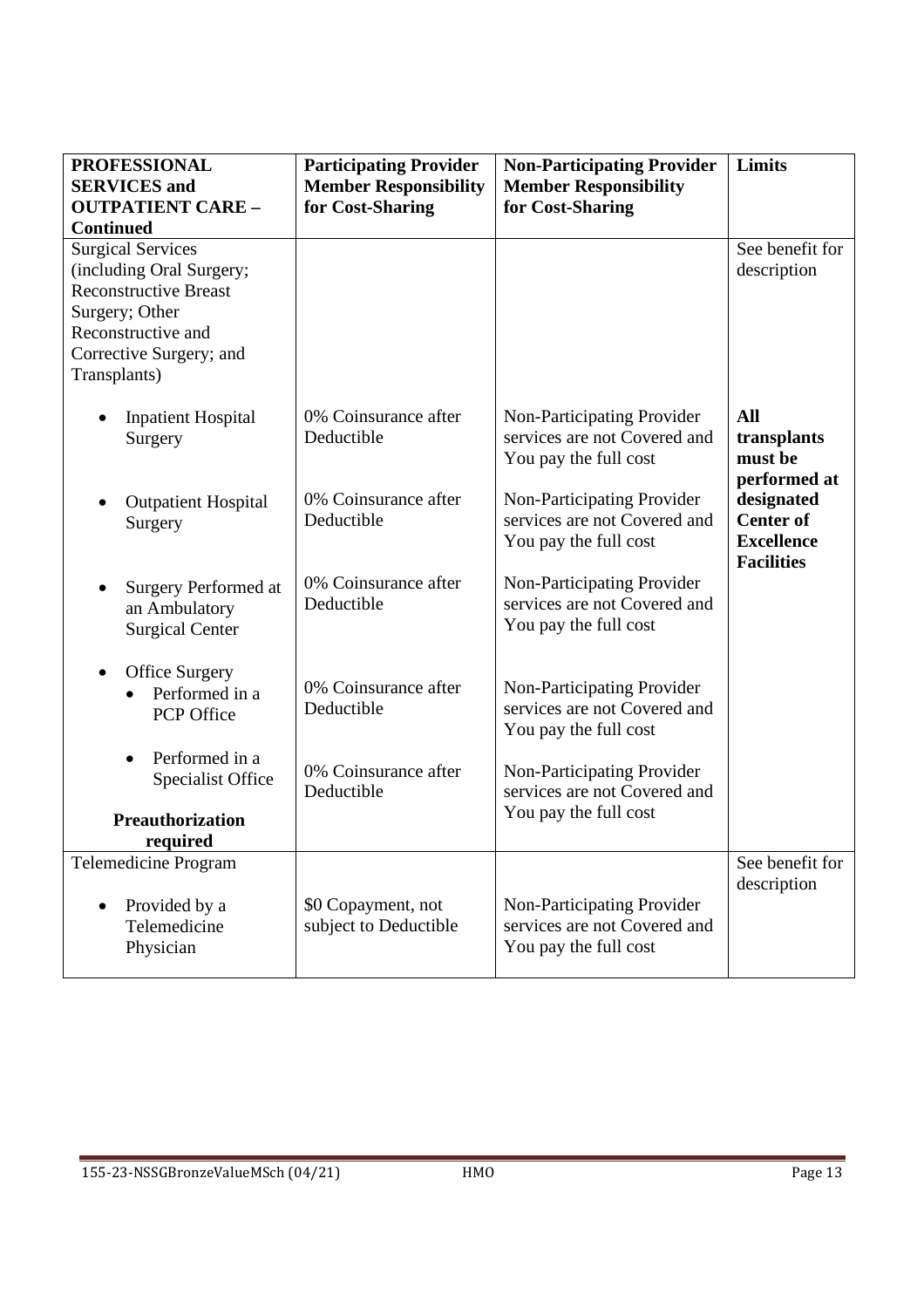| <b>PROFESSIONAL</b><br><b>SERVICES</b> and<br><b>OUTPATIENT CARE -</b><br><b>Continued</b>                                                                              | <b>Participating Provider</b><br><b>Member Responsibility</b><br>for Cost-Sharing | <b>Non-Participating Provider</b><br><b>Member Responsibility</b><br>for Cost-Sharing | Limits                                                                   |
|-------------------------------------------------------------------------------------------------------------------------------------------------------------------------|-----------------------------------------------------------------------------------|---------------------------------------------------------------------------------------|--------------------------------------------------------------------------|
| <b>Surgical Services</b><br>(including Oral Surgery;<br><b>Reconstructive Breast</b><br>Surgery; Other<br>Reconstructive and<br>Corrective Surgery; and<br>Transplants) |                                                                                   |                                                                                       | See benefit for<br>description                                           |
| <b>Inpatient Hospital</b><br>Surgery                                                                                                                                    | 0% Coinsurance after<br>Deductible                                                | Non-Participating Provider<br>services are not Covered and<br>You pay the full cost   | All<br>transplants<br>must be<br>performed at                            |
| <b>Outpatient Hospital</b><br>Surgery                                                                                                                                   | 0% Coinsurance after<br>Deductible                                                | Non-Participating Provider<br>services are not Covered and<br>You pay the full cost   | designated<br><b>Center of</b><br><b>Excellence</b><br><b>Facilities</b> |
| Surgery Performed at<br>an Ambulatory<br><b>Surgical Center</b>                                                                                                         | 0% Coinsurance after<br>Deductible                                                | Non-Participating Provider<br>services are not Covered and<br>You pay the full cost   |                                                                          |
| <b>Office Surgery</b><br>$\bullet$<br>Performed in a<br>PCP Office                                                                                                      | 0% Coinsurance after<br>Deductible                                                | Non-Participating Provider<br>services are not Covered and<br>You pay the full cost   |                                                                          |
| Performed in a<br><b>Specialist Office</b>                                                                                                                              | 0% Coinsurance after<br>Deductible                                                | Non-Participating Provider<br>services are not Covered and<br>You pay the full cost   |                                                                          |
| Preauthorization<br>required                                                                                                                                            |                                                                                   |                                                                                       |                                                                          |
| <b>Telemedicine Program</b><br>Provided by a<br>Telemedicine<br>Physician                                                                                               | \$0 Copayment, not<br>subject to Deductible                                       | Non-Participating Provider<br>services are not Covered and<br>You pay the full cost   | See benefit for<br>description                                           |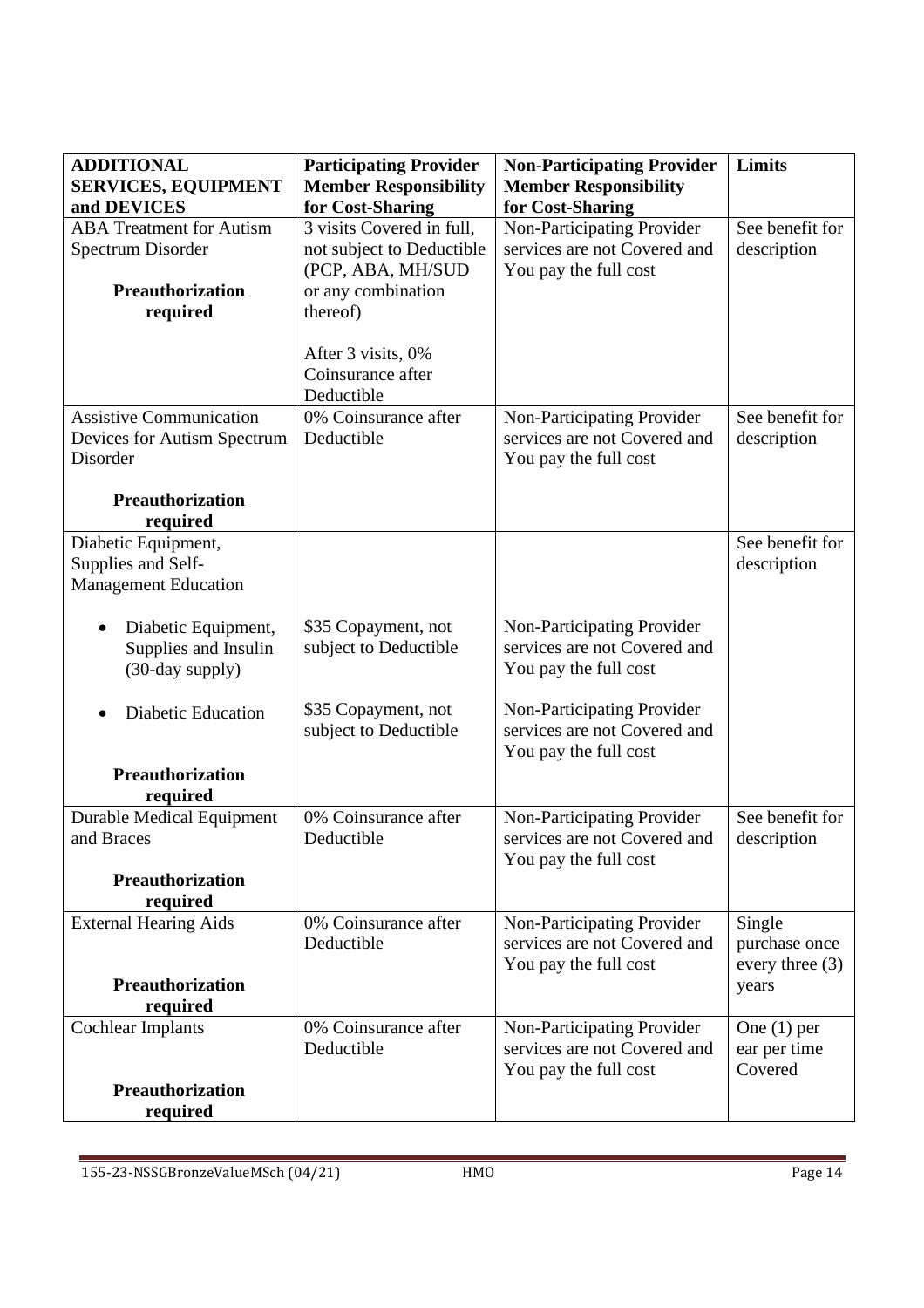| <b>ADDITIONAL</b><br><b>SERVICES, EQUIPMENT</b> | <b>Participating Provider</b><br><b>Member Responsibility</b> | <b>Non-Participating Provider</b><br><b>Member Responsibility</b> | Limits            |
|-------------------------------------------------|---------------------------------------------------------------|-------------------------------------------------------------------|-------------------|
| and DEVICES                                     | for Cost-Sharing                                              | for Cost-Sharing                                                  |                   |
| <b>ABA Treatment for Autism</b>                 | 3 visits Covered in full,                                     | Non-Participating Provider                                        | See benefit for   |
| Spectrum Disorder                               | not subject to Deductible                                     | services are not Covered and                                      | description       |
|                                                 | (PCP, ABA, MH/SUD                                             | You pay the full cost                                             |                   |
| Preauthorization                                | or any combination                                            |                                                                   |                   |
| required                                        | thereof)                                                      |                                                                   |                   |
|                                                 |                                                               |                                                                   |                   |
|                                                 | After 3 visits, 0%                                            |                                                                   |                   |
|                                                 | Coinsurance after                                             |                                                                   |                   |
|                                                 | Deductible                                                    |                                                                   |                   |
| <b>Assistive Communication</b>                  | 0% Coinsurance after                                          | Non-Participating Provider                                        | See benefit for   |
| Devices for Autism Spectrum                     | Deductible                                                    | services are not Covered and                                      | description       |
| Disorder                                        |                                                               | You pay the full cost                                             |                   |
|                                                 |                                                               |                                                                   |                   |
| <b>Preauthorization</b>                         |                                                               |                                                                   |                   |
| required                                        |                                                               |                                                                   |                   |
| Diabetic Equipment,                             |                                                               |                                                                   | See benefit for   |
| Supplies and Self-                              |                                                               |                                                                   | description       |
| <b>Management Education</b>                     |                                                               |                                                                   |                   |
|                                                 |                                                               |                                                                   |                   |
| Diabetic Equipment,<br>$\bullet$                | \$35 Copayment, not                                           | Non-Participating Provider                                        |                   |
| Supplies and Insulin                            | subject to Deductible                                         | services are not Covered and                                      |                   |
| (30-day supply)                                 |                                                               | You pay the full cost                                             |                   |
|                                                 |                                                               |                                                                   |                   |
| <b>Diabetic Education</b>                       | \$35 Copayment, not                                           | Non-Participating Provider                                        |                   |
|                                                 | subject to Deductible                                         | services are not Covered and                                      |                   |
|                                                 |                                                               | You pay the full cost                                             |                   |
| Preauthorization                                |                                                               |                                                                   |                   |
| required                                        |                                                               |                                                                   |                   |
| <b>Durable Medical Equipment</b>                | $\overline{0\%}$ Coinsurance after                            | Non-Participating Provider                                        | See benefit for   |
| and Braces                                      | Deductible                                                    | services are not Covered and                                      | description       |
|                                                 |                                                               | You pay the full cost                                             |                   |
| <b>Preauthorization</b>                         |                                                               |                                                                   |                   |
| required                                        |                                                               |                                                                   |                   |
| <b>External Hearing Aids</b>                    | 0% Coinsurance after                                          | Non-Participating Provider                                        | Single            |
|                                                 | Deductible                                                    | services are not Covered and                                      | purchase once     |
|                                                 |                                                               | You pay the full cost                                             | every three $(3)$ |
| <b>Preauthorization</b>                         |                                                               |                                                                   | years             |
| required                                        |                                                               |                                                                   |                   |
| <b>Cochlear Implants</b>                        | 0% Coinsurance after                                          | Non-Participating Provider                                        | One $(1)$ per     |
|                                                 | Deductible                                                    | services are not Covered and                                      | ear per time      |
|                                                 |                                                               | You pay the full cost                                             | Covered           |
| Preauthorization                                |                                                               |                                                                   |                   |
| required                                        |                                                               |                                                                   |                   |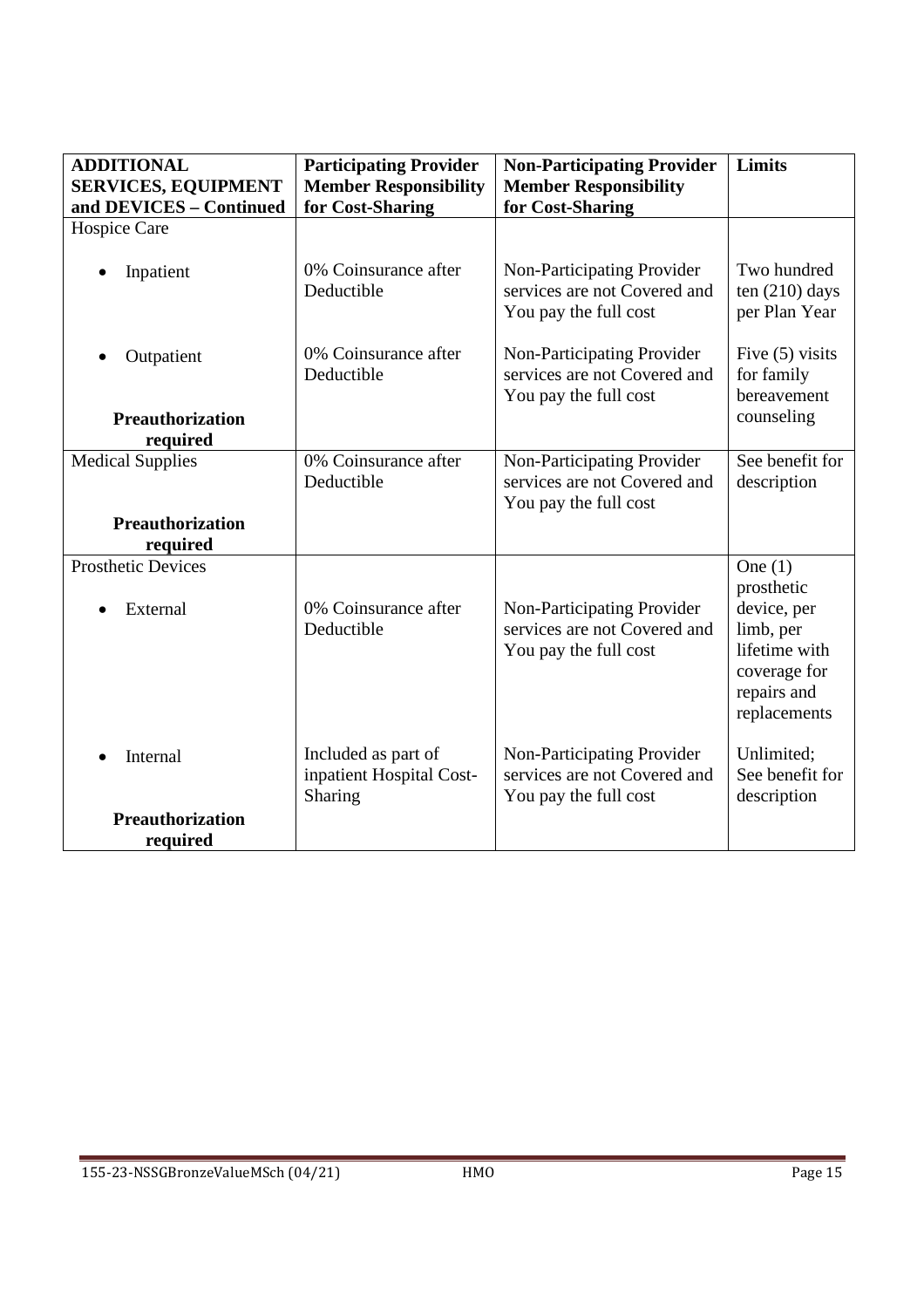| <b>ADDITIONAL</b>                     | <b>Participating Provider</b>                              | <b>Non-Participating Provider</b>                                                   | Limits                                                                                                              |
|---------------------------------------|------------------------------------------------------------|-------------------------------------------------------------------------------------|---------------------------------------------------------------------------------------------------------------------|
| <b>SERVICES, EQUIPMENT</b>            | <b>Member Responsibility</b>                               | <b>Member Responsibility</b>                                                        |                                                                                                                     |
| and DEVICES - Continued               | for Cost-Sharing                                           | for Cost-Sharing                                                                    |                                                                                                                     |
| Hospice Care                          |                                                            |                                                                                     |                                                                                                                     |
| Inpatient                             | 0% Coinsurance after<br>Deductible                         | Non-Participating Provider<br>services are not Covered and<br>You pay the full cost | Two hundred<br>ten $(210)$ days<br>per Plan Year                                                                    |
| Outpatient                            | 0% Coinsurance after<br>Deductible                         | Non-Participating Provider<br>services are not Covered and<br>You pay the full cost | Five $(5)$ visits<br>for family<br>bereavement                                                                      |
| <b>Preauthorization</b>               |                                                            |                                                                                     | counseling                                                                                                          |
| required                              |                                                            |                                                                                     |                                                                                                                     |
| <b>Medical Supplies</b>               | 0% Coinsurance after<br>Deductible                         | Non-Participating Provider<br>services are not Covered and<br>You pay the full cost | See benefit for<br>description                                                                                      |
| <b>Preauthorization</b><br>required   |                                                            |                                                                                     |                                                                                                                     |
| <b>Prosthetic Devices</b><br>External | 0% Coinsurance after<br>Deductible                         | Non-Participating Provider<br>services are not Covered and<br>You pay the full cost | One $(1)$<br>prosthetic<br>device, per<br>limb, per<br>lifetime with<br>coverage for<br>repairs and<br>replacements |
| Internal                              | Included as part of<br>inpatient Hospital Cost-<br>Sharing | Non-Participating Provider<br>services are not Covered and<br>You pay the full cost | Unlimited;<br>See benefit for<br>description                                                                        |
| <b>Preauthorization</b><br>required   |                                                            |                                                                                     |                                                                                                                     |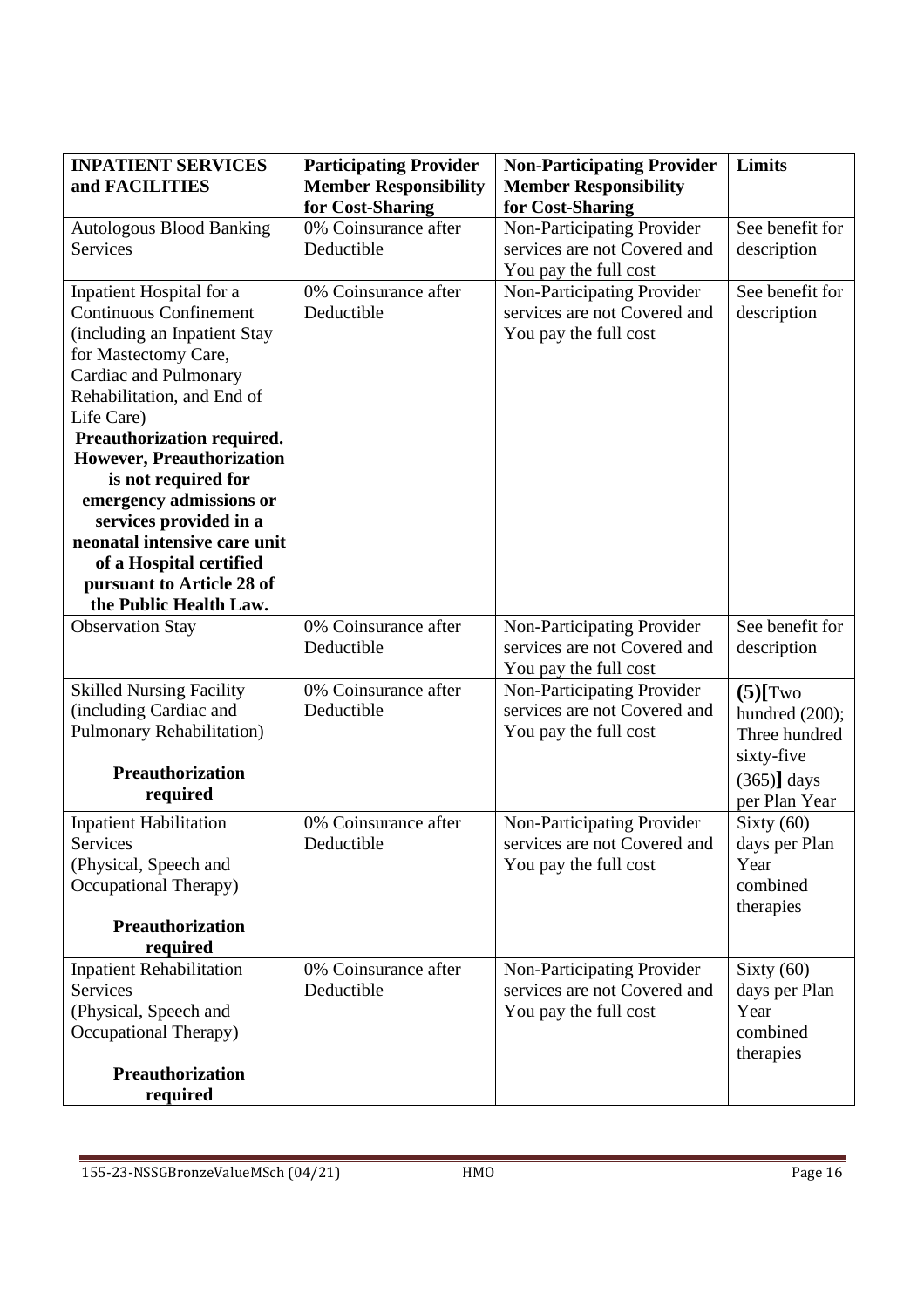| <b>INPATIENT SERVICES</b>        | <b>Participating Provider</b> | <b>Non-Participating Provider</b> | <b>Limits</b>   |
|----------------------------------|-------------------------------|-----------------------------------|-----------------|
| and FACILITIES                   | <b>Member Responsibility</b>  | <b>Member Responsibility</b>      |                 |
|                                  | for Cost-Sharing              | for Cost-Sharing                  |                 |
| <b>Autologous Blood Banking</b>  | 0% Coinsurance after          | Non-Participating Provider        | See benefit for |
| <b>Services</b>                  | Deductible                    | services are not Covered and      | description     |
|                                  |                               | You pay the full cost             |                 |
| Inpatient Hospital for a         | 0% Coinsurance after          | Non-Participating Provider        | See benefit for |
| <b>Continuous Confinement</b>    | Deductible                    | services are not Covered and      | description     |
| (including an Inpatient Stay     |                               | You pay the full cost             |                 |
| for Mastectomy Care,             |                               |                                   |                 |
| Cardiac and Pulmonary            |                               |                                   |                 |
| Rehabilitation, and End of       |                               |                                   |                 |
| Life Care)                       |                               |                                   |                 |
| Preauthorization required.       |                               |                                   |                 |
| However, Preauthorization        |                               |                                   |                 |
| is not required for              |                               |                                   |                 |
| emergency admissions or          |                               |                                   |                 |
| services provided in a           |                               |                                   |                 |
| neonatal intensive care unit     |                               |                                   |                 |
| of a Hospital certified          |                               |                                   |                 |
| pursuant to Article 28 of        |                               |                                   |                 |
| the Public Health Law.           |                               |                                   |                 |
| <b>Observation Stay</b>          | 0% Coinsurance after          | Non-Participating Provider        | See benefit for |
|                                  | Deductible                    | services are not Covered and      | description     |
|                                  |                               | You pay the full cost             |                 |
| <b>Skilled Nursing Facility</b>  | 0% Coinsurance after          | Non-Participating Provider        | $(5)$ [Two      |
| (including Cardiac and           | Deductible                    | services are not Covered and      | hundred (200);  |
| <b>Pulmonary Rehabilitation)</b> |                               | You pay the full cost             | Three hundred   |
|                                  |                               |                                   | sixty-five      |
| <b>Preauthorization</b>          |                               |                                   | $(365)$ days    |
| required                         |                               |                                   | per Plan Year   |
| <b>Inpatient Habilitation</b>    | 0% Coinsurance after          | Non-Participating Provider        | Sixty $(60)$    |
| Services                         | Deductible                    | services are not Covered and      | days per Plan   |
| (Physical, Speech and            |                               | You pay the full cost             | Year            |
| <b>Occupational Therapy)</b>     |                               |                                   | combined        |
|                                  |                               |                                   | therapies       |
| <b>Preauthorization</b>          |                               |                                   |                 |
| required                         |                               |                                   |                 |
| <b>Inpatient Rehabilitation</b>  | 0% Coinsurance after          | Non-Participating Provider        | Sixty $(60)$    |
| <b>Services</b>                  | Deductible                    | services are not Covered and      | days per Plan   |
| (Physical, Speech and            |                               | You pay the full cost             | Year            |
| <b>Occupational Therapy)</b>     |                               |                                   | combined        |
|                                  |                               |                                   | therapies       |
| <b>Preauthorization</b>          |                               |                                   |                 |
| required                         |                               |                                   |                 |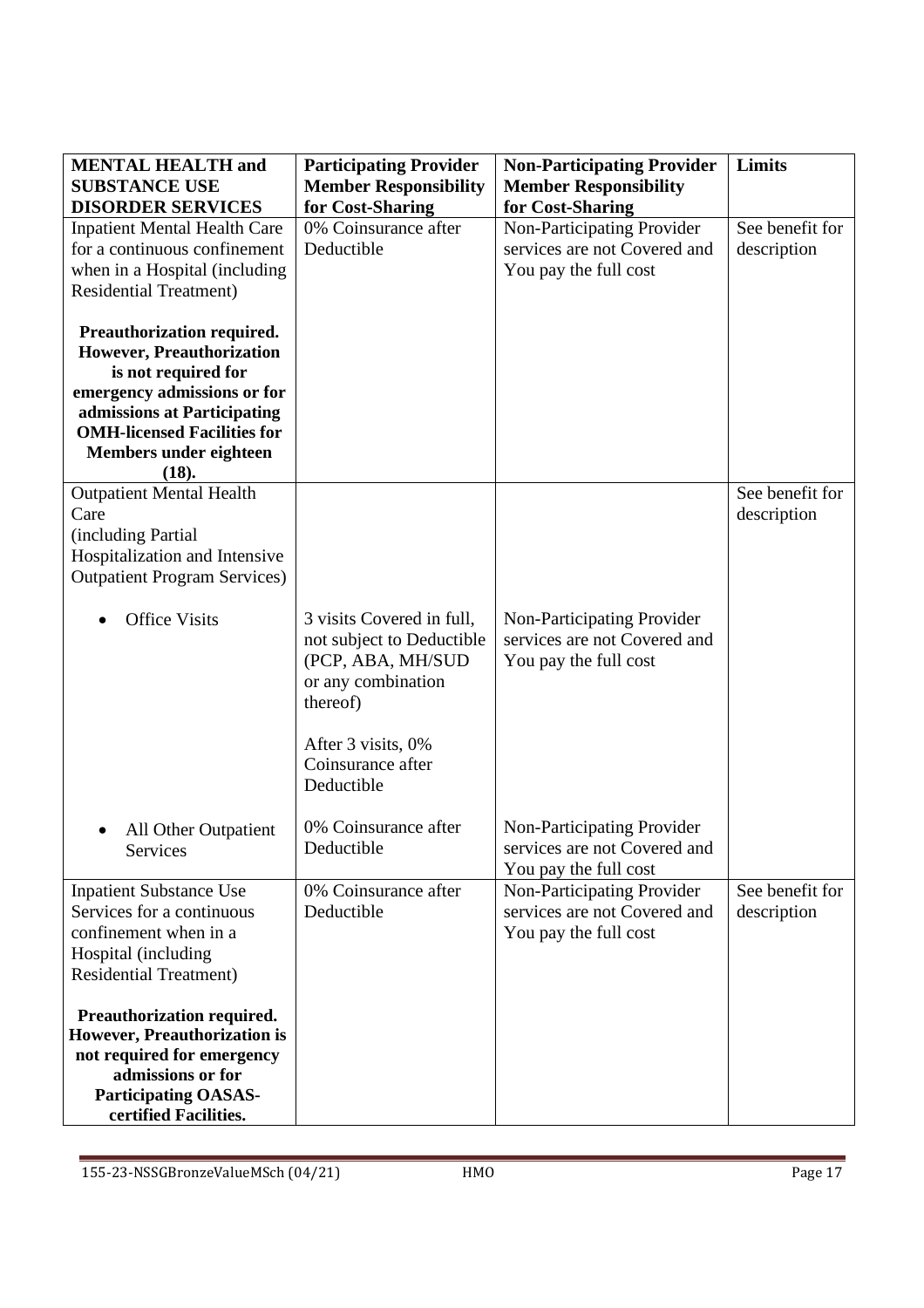| <b>MENTAL HEALTH and</b><br><b>SUBSTANCE USE</b>                                                                                                                                                                      | <b>Participating Provider</b><br><b>Member Responsibility</b>                                                                                                          | <b>Non-Participating Provider</b><br><b>Member Responsibility</b>                                       | Limits                         |
|-----------------------------------------------------------------------------------------------------------------------------------------------------------------------------------------------------------------------|------------------------------------------------------------------------------------------------------------------------------------------------------------------------|---------------------------------------------------------------------------------------------------------|--------------------------------|
| <b>DISORDER SERVICES</b><br><b>Inpatient Mental Health Care</b><br>for a continuous confinement<br>when in a Hospital (including<br><b>Residential Treatment)</b>                                                     | for Cost-Sharing<br>0% Coinsurance after<br>Deductible                                                                                                                 | for Cost-Sharing<br>Non-Participating Provider<br>services are not Covered and<br>You pay the full cost | See benefit for<br>description |
| Preauthorization required.<br>However, Preauthorization<br>is not required for<br>emergency admissions or for<br>admissions at Participating<br><b>OMH-licensed Facilities for</b><br>Members under eighteen<br>(18). |                                                                                                                                                                        |                                                                                                         |                                |
| <b>Outpatient Mental Health</b><br>Care<br>(including Partial<br>Hospitalization and Intensive<br><b>Outpatient Program Services</b> )                                                                                |                                                                                                                                                                        |                                                                                                         | See benefit for<br>description |
| <b>Office Visits</b>                                                                                                                                                                                                  | 3 visits Covered in full,<br>not subject to Deductible<br>(PCP, ABA, MH/SUD<br>or any combination<br>thereof)<br>After 3 visits, 0%<br>Coinsurance after<br>Deductible | Non-Participating Provider<br>services are not Covered and<br>You pay the full cost                     |                                |
| All Other Outpatient<br>Services                                                                                                                                                                                      | 0% Coinsurance after<br>Deductible                                                                                                                                     | Non-Participating Provider<br>services are not Covered and<br>You pay the full cost                     |                                |
| <b>Inpatient Substance Use</b><br>Services for a continuous<br>confinement when in a<br>Hospital (including<br><b>Residential Treatment)</b>                                                                          | 0% Coinsurance after<br>Deductible                                                                                                                                     | Non-Participating Provider<br>services are not Covered and<br>You pay the full cost                     | See benefit for<br>description |
| Preauthorization required.<br><b>However, Preauthorization is</b><br>not required for emergency<br>admissions or for<br><b>Participating OASAS-</b><br>certified Facilities.                                          |                                                                                                                                                                        |                                                                                                         |                                |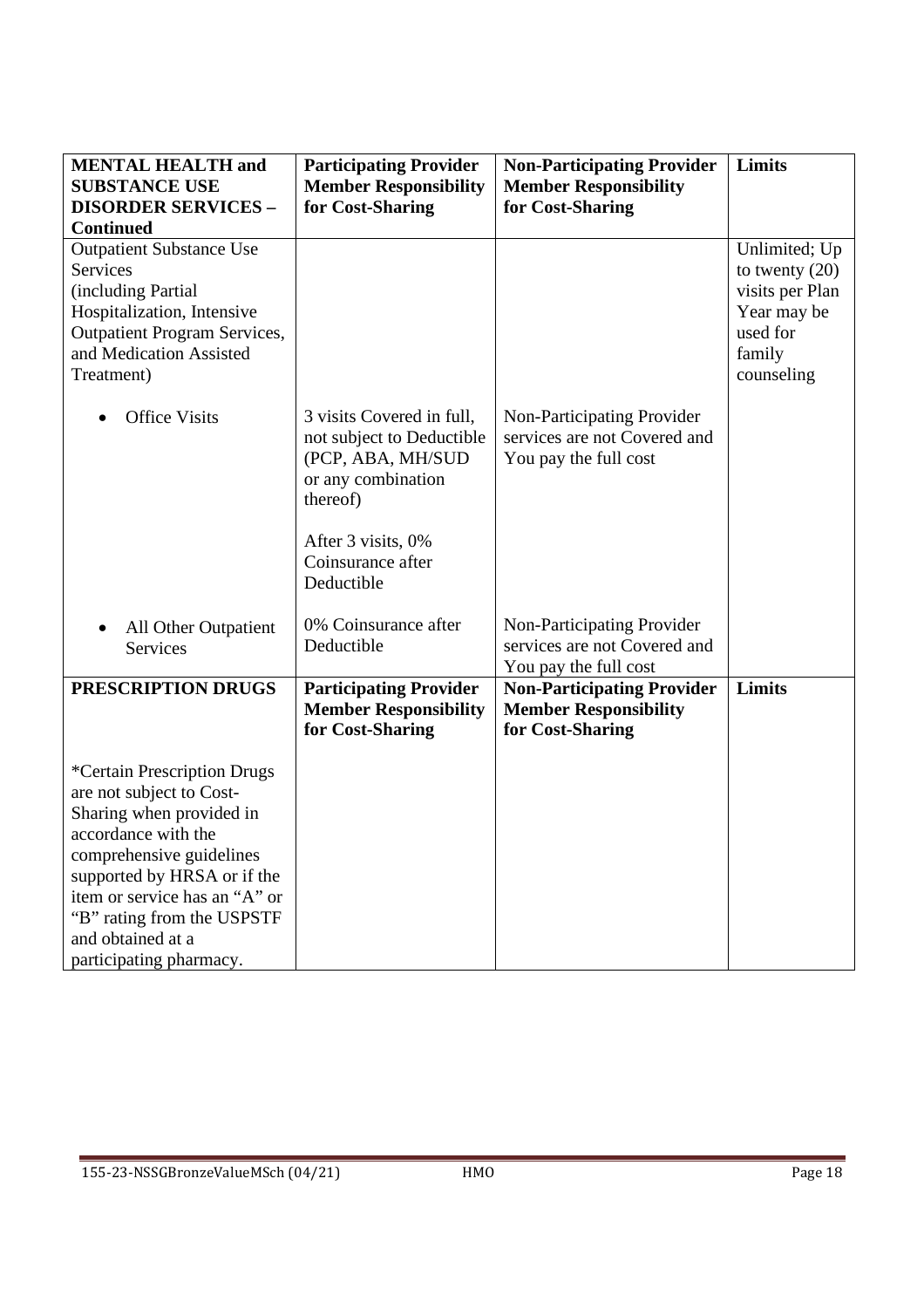| <b>MENTAL HEALTH and</b><br><b>SUBSTANCE USE</b><br><b>DISORDER SERVICES -</b><br><b>Continued</b>                                                                                                                                                                                   | <b>Participating Provider</b><br><b>Member Responsibility</b><br>for Cost-Sharing                                                                                      | <b>Non-Participating Provider</b><br><b>Member Responsibility</b><br>for Cost-Sharing | Limits                                                                                                  |
|--------------------------------------------------------------------------------------------------------------------------------------------------------------------------------------------------------------------------------------------------------------------------------------|------------------------------------------------------------------------------------------------------------------------------------------------------------------------|---------------------------------------------------------------------------------------|---------------------------------------------------------------------------------------------------------|
| <b>Outpatient Substance Use</b><br>Services<br>(including Partial<br>Hospitalization, Intensive<br><b>Outpatient Program Services,</b><br>and Medication Assisted<br>Treatment)                                                                                                      |                                                                                                                                                                        |                                                                                       | Unlimited; Up<br>to twenty $(20)$<br>visits per Plan<br>Year may be<br>used for<br>family<br>counseling |
| <b>Office Visits</b><br>$\bullet$                                                                                                                                                                                                                                                    | 3 visits Covered in full,<br>not subject to Deductible<br>(PCP, ABA, MH/SUD<br>or any combination<br>thereof)<br>After 3 visits, 0%<br>Coinsurance after<br>Deductible | Non-Participating Provider<br>services are not Covered and<br>You pay the full cost   |                                                                                                         |
| All Other Outpatient<br>$\bullet$<br><b>Services</b>                                                                                                                                                                                                                                 | 0% Coinsurance after<br>Deductible                                                                                                                                     | Non-Participating Provider<br>services are not Covered and<br>You pay the full cost   |                                                                                                         |
| PRESCRIPTION DRUGS                                                                                                                                                                                                                                                                   | <b>Participating Provider</b><br><b>Member Responsibility</b><br>for Cost-Sharing                                                                                      | <b>Non-Participating Provider</b><br><b>Member Responsibility</b><br>for Cost-Sharing | Limits                                                                                                  |
| *Certain Prescription Drugs<br>are not subject to Cost-<br>Sharing when provided in<br>accordance with the<br>comprehensive guidelines<br>supported by HRSA or if the<br>item or service has an "A" or<br>"B" rating from the USPSTF<br>and obtained at a<br>participating pharmacy. |                                                                                                                                                                        |                                                                                       |                                                                                                         |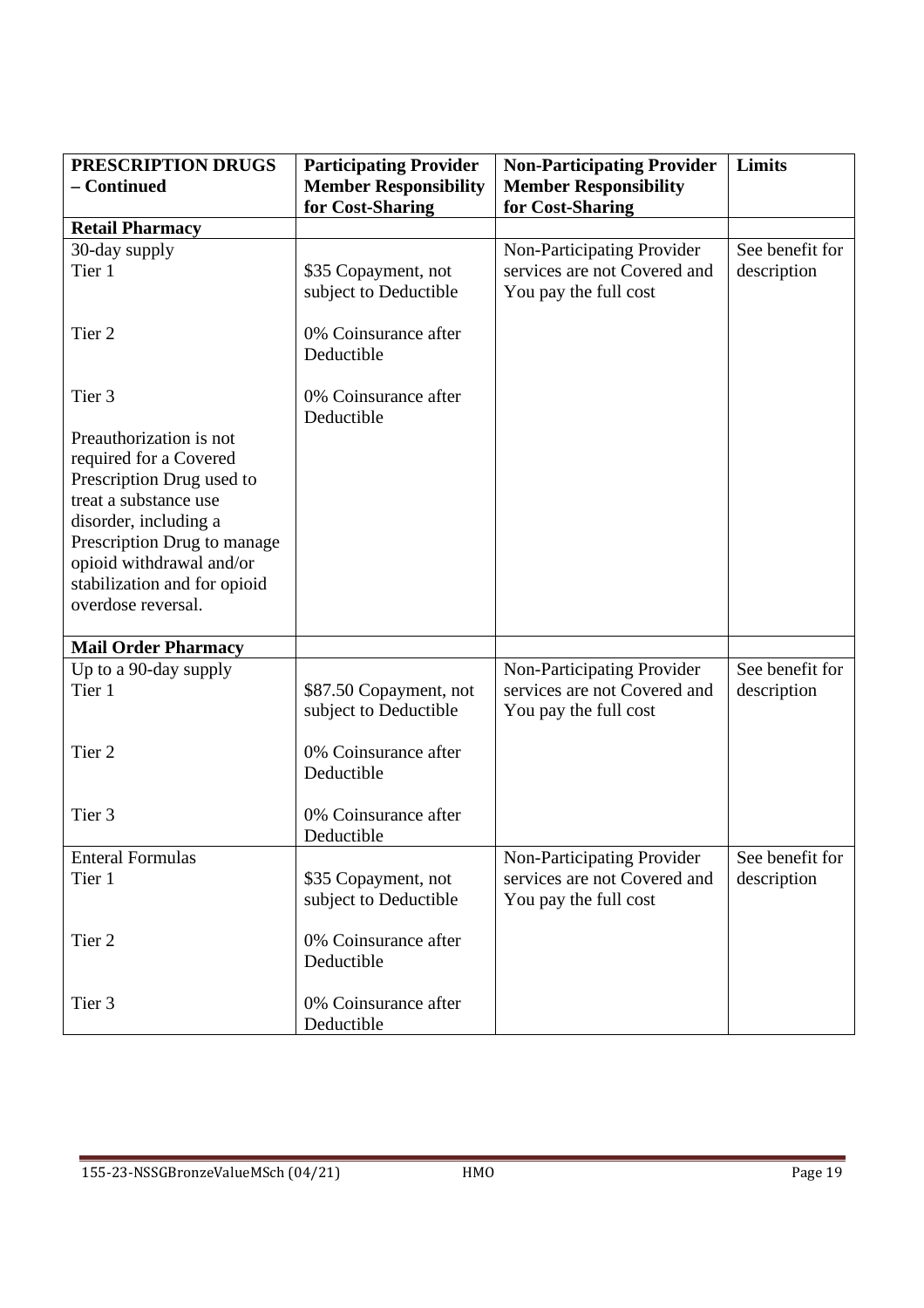| PRESCRIPTION DRUGS                                                                                                                                                                                                                                | <b>Participating Provider</b>                   | <b>Non-Participating Provider</b>                     | <b>Limits</b>   |
|---------------------------------------------------------------------------------------------------------------------------------------------------------------------------------------------------------------------------------------------------|-------------------------------------------------|-------------------------------------------------------|-----------------|
| - Continued                                                                                                                                                                                                                                       | <b>Member Responsibility</b>                    | <b>Member Responsibility</b>                          |                 |
|                                                                                                                                                                                                                                                   | for Cost-Sharing                                | for Cost-Sharing                                      |                 |
| <b>Retail Pharmacy</b>                                                                                                                                                                                                                            |                                                 |                                                       |                 |
| 30-day supply                                                                                                                                                                                                                                     |                                                 | Non-Participating Provider                            | See benefit for |
| Tier 1                                                                                                                                                                                                                                            | \$35 Copayment, not<br>subject to Deductible    | services are not Covered and<br>You pay the full cost | description     |
| Tier <sub>2</sub>                                                                                                                                                                                                                                 | 0% Coinsurance after<br>Deductible              |                                                       |                 |
| Tier <sub>3</sub>                                                                                                                                                                                                                                 | 0% Coinsurance after<br>Deductible              |                                                       |                 |
| Preauthorization is not<br>required for a Covered<br>Prescription Drug used to<br>treat a substance use<br>disorder, including a<br>Prescription Drug to manage<br>opioid withdrawal and/or<br>stabilization and for opioid<br>overdose reversal. |                                                 |                                                       |                 |
| <b>Mail Order Pharmacy</b>                                                                                                                                                                                                                        |                                                 |                                                       |                 |
| Up to a 90-day supply                                                                                                                                                                                                                             |                                                 | Non-Participating Provider                            | See benefit for |
| Tier 1                                                                                                                                                                                                                                            | \$87.50 Copayment, not<br>subject to Deductible | services are not Covered and<br>You pay the full cost | description     |
| Tier <sub>2</sub>                                                                                                                                                                                                                                 | 0% Coinsurance after<br>Deductible              |                                                       |                 |
| Tier <sub>3</sub>                                                                                                                                                                                                                                 | 0% Coinsurance after<br>Deductible              |                                                       |                 |
| <b>Enteral Formulas</b>                                                                                                                                                                                                                           |                                                 | Non-Participating Provider                            | See benefit for |
| Tier 1                                                                                                                                                                                                                                            | \$35 Copayment, not<br>subject to Deductible    | services are not Covered and<br>You pay the full cost | description     |
| Tier 2                                                                                                                                                                                                                                            | 0% Coinsurance after<br>Deductible              |                                                       |                 |
| Tier 3                                                                                                                                                                                                                                            | 0% Coinsurance after<br>Deductible              |                                                       |                 |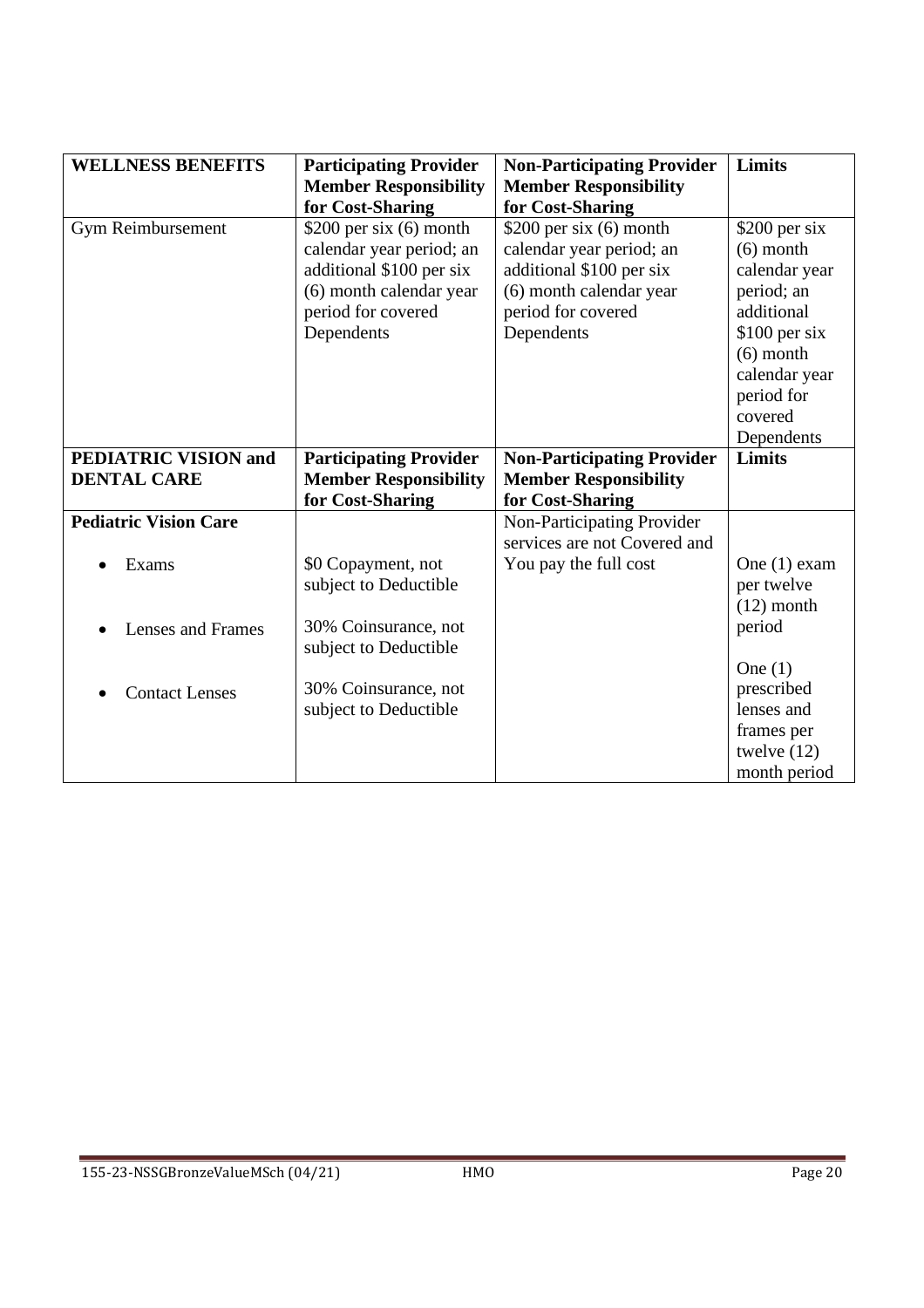| <b>WELLNESS BENEFITS</b>     | <b>Participating Provider</b><br><b>Member Responsibility</b> | <b>Non-Participating Provider</b><br><b>Member Responsibility</b> | <b>Limits</b>  |
|------------------------------|---------------------------------------------------------------|-------------------------------------------------------------------|----------------|
|                              | for Cost-Sharing                                              | for Cost-Sharing                                                  |                |
| Gym Reimbursement            | \$200 per six $(6)$ month                                     | \$200 per six $(6)$ month                                         | $$200$ per six |
|                              | calendar year period; an                                      | calendar year period; an                                          | $(6)$ month    |
|                              | additional \$100 per six                                      | additional \$100 per six                                          | calendar year  |
|                              | (6) month calendar year                                       | (6) month calendar year                                           | period; an     |
|                              | period for covered                                            | period for covered                                                | additional     |
|                              | Dependents                                                    | Dependents                                                        | \$100 per six  |
|                              |                                                               |                                                                   | $(6)$ month    |
|                              |                                                               |                                                                   | calendar year  |
|                              |                                                               |                                                                   | period for     |
|                              |                                                               |                                                                   | covered        |
|                              |                                                               |                                                                   | Dependents     |
| <b>PEDIATRIC VISION and</b>  | <b>Participating Provider</b>                                 | <b>Non-Participating Provider</b>                                 | Limits         |
| <b>DENTAL CARE</b>           | <b>Member Responsibility</b>                                  | <b>Member Responsibility</b>                                      |                |
|                              | for Cost-Sharing                                              | for Cost-Sharing                                                  |                |
| <b>Pediatric Vision Care</b> |                                                               | Non-Participating Provider                                        |                |
|                              |                                                               | services are not Covered and                                      |                |
| Exams                        | \$0 Copayment, not                                            | You pay the full cost                                             | One $(1)$ exam |
|                              | subject to Deductible                                         |                                                                   | per twelve     |
|                              |                                                               |                                                                   | $(12)$ month   |
| Lenses and Frames            | 30% Coinsurance, not                                          |                                                                   | period         |
|                              | subject to Deductible                                         |                                                                   |                |
|                              |                                                               |                                                                   | One $(1)$      |
| <b>Contact Lenses</b>        | 30% Coinsurance, not                                          |                                                                   | prescribed     |
|                              | subject to Deductible                                         |                                                                   | lenses and     |
|                              |                                                               |                                                                   | frames per     |
|                              |                                                               |                                                                   | twelve $(12)$  |
|                              |                                                               |                                                                   | month period   |